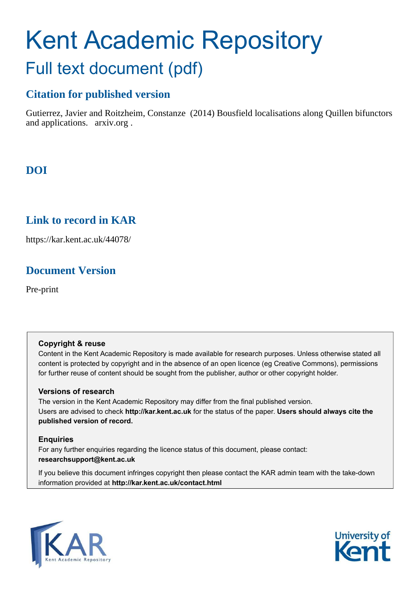# Kent Academic Repository Full text document (pdf)

## **Citation for published version**

Gutierrez, Javier and Roitzheim, Constanze (2014) Bousfield localisations along Quillen bifunctors and applications. arxiv.org .

# **DOI**

## **Link to record in KAR**

https://kar.kent.ac.uk/44078/

# **Document Version**

Pre-print

## **Copyright & reuse**

Content in the Kent Academic Repository is made available for research purposes. Unless otherwise stated all content is protected by copyright and in the absence of an open licence (eg Creative Commons), permissions for further reuse of content should be sought from the publisher, author or other copyright holder.

## **Versions of research**

The version in the Kent Academic Repository may differ from the final published version. Users are advised to check **http://kar.kent.ac.uk** for the status of the paper. **Users should always cite the published version of record.**

## **Enquiries**

For any further enquiries regarding the licence status of this document, please contact: **researchsupport@kent.ac.uk**

If you believe this document infringes copyright then please contact the KAR admin team with the take-down information provided at **http://kar.kent.ac.uk/contact.html**



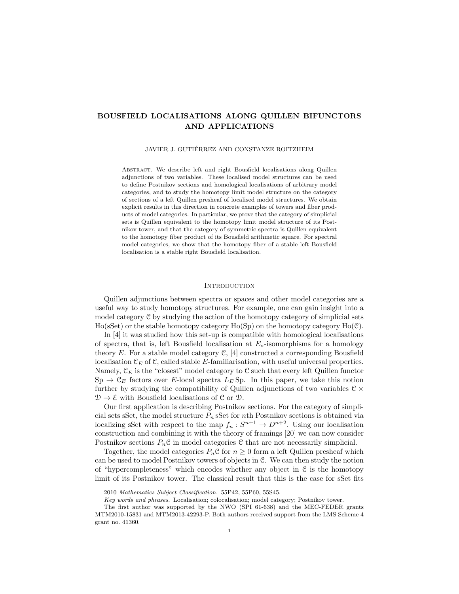#### BOUSFIELD LOCALISATIONS ALONG QUILLEN BIFUNCTORS AND APPLICATIONS

#### JAVIER J. GUTIÉRREZ AND CONSTANZE ROITZHEIM

ABSTRACT. We describe left and right Bousfield localisations along Quillen adjunctions of two variables. These localised model structures can be used to define Postnikov sections and homological localisations of arbitrary model categories, and to study the homotopy limit model structure on the category of sections of a left Quillen presheaf of localised model structures. We obtain explicit results in this direction in concrete examples of towers and fiber products of model categories. In particular, we prove that the category of simplicial sets is Quillen equivalent to the homotopy limit model structure of its Postnikov tower, and that the category of symmetric spectra is Quillen equivalent to the homotopy fiber product of its Bousfield arithmetic square. For spectral model categories, we show that the homotopy fiber of a stable left Bousfield localisation is a stable right Bousfield localisation.

#### **INTRODUCTION**

Quillen adjunctions between spectra or spaces and other model categories are a useful way to study homotopy structures. For example, one can gain insight into a model category C by studying the action of the homotopy category of simplicial sets  $H_0$ (sSet) or the stable homotopy category  $H_0(S_p)$  on the homotopy category  $H_0(\mathcal{C})$ .

In [4] it was studied how this set-up is compatible with homological localisations of spectra, that is, left Bousfield localisation at  $E_*$ -isomorphisms for a homology theory E. For a stable model category  $\mathcal{C}$ , [4] constructed a corresponding Bousfield localisation  $\mathfrak{C}_E$  of  $\mathfrak{C}$ , called stable E-familiarisation, with useful universal properties. Namely,  $\mathfrak{C}_E$  is the "closest" model category to  $\mathfrak C$  such that every left Quillen functor  $\text{Sp} \to \mathcal{C}_E$  factors over E-local spectra  $L_E$  Sp. In this paper, we take this notion further by studying the compatibility of Quillen adjunctions of two variables  $\mathcal{C} \times$  $\mathcal{D} \to \mathcal{E}$  with Bousfield localisations of C or D.

Our first application is describing Postnikov sections. For the category of simplicial sets sSet, the model structure  $P_n$  sSet for *n*th Postnikov sections is obtained via localizing sSet with respect to the map  $f_n: S^{n+1} \to D^{n+2}$ . Using our localisation construction and combining it with the theory of framings [20] we can now consider Postnikov sections  $P_n \mathcal{C}$  in model categories  $\mathcal{C}$  that are not necessarily simplicial.

Together, the model categories  $P_n \mathcal{C}$  for  $n \geq 0$  form a left Quillen presheaf which can be used to model Postnikov towers of objects in C. We can then study the notion of "hypercompleteness" which encodes whether any object in  $C$  is the homotopy limit of its Postnikov tower. The classical result that this is the case for sSet fits

<sup>2010</sup> *Mathematics Subject Classification.* 55P42, 55P60, 55S45.

*Key words and phrases.* Localisation; colocalisation; model category; Postnikov tower.

The first author was supported by the NWO (SPI 61-638) and the MEC-FEDER grants MTM2010-15831 and MTM2013-42293-P. Both authors received support from the LMS Scheme 4 grant no. 41360.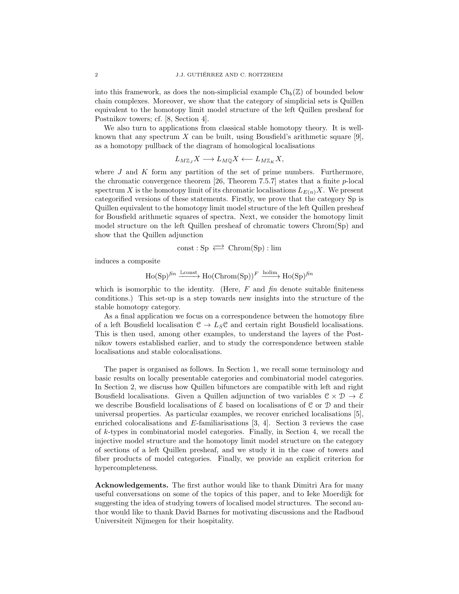into this framework, as does the non-simplicial example  $\mathrm{Ch}_b(\mathbb{Z})$  of bounded below chain complexes. Moreover, we show that the category of simplicial sets is Quillen equivalent to the homotopy limit model structure of the left Quillen presheaf for Postnikov towers; cf. [8, Section 4].

We also turn to applications from classical stable homotopy theory. It is wellknown that any spectrum X can be built, using Bousfield's arithmetic square  $[9]$ , as a homotopy pullback of the diagram of homological localisations

$$
L_{M\mathbb{Z}_J}X\longrightarrow L_{M\mathbb{Q}}X\longleftarrow L_{M\mathbb{Z}_K}X,
$$

where  $J$  and  $K$  form any partition of the set of prime numbers. Furthermore, the chromatic convergence theorem  $[26,$  Theorem 7.5.7] states that a finite p-local spectrum X is the homotopy limit of its chromatic localisations  $L_{E(n)}X$ . We present categorified versions of these statements. Firstly, we prove that the category Sp is Quillen equivalent to the homotopy limit model structure of the left Quillen presheaf for Bousfield arithmetic squares of spectra. Next, we consider the homotopy limit model structure on the left Quillen presheaf of chromatic towers Chrom(Sp) and show that the Quillen adjunction

$$
const: \mathrm{Sp} \iff \mathrm{Chrom}(\mathrm{Sp}): \mathrm{lim}
$$

induces a composite

$$
\mathrm{Ho}(\mathrm{Sp})^{\text{fin}} \xrightarrow{\mathrm{Lconst}} \mathrm{Ho}(\mathrm{Chrom}(\mathrm{Sp}))^F \xrightarrow{\mathrm{holim}} \mathrm{Ho}(\mathrm{Sp})^{\text{fin}}
$$

which is isomorphic to the identity. (Here, F and  $\hat{f}$  m denote suitable finiteness conditions.) This set-up is a step towards new insights into the structure of the stable homotopy category.

As a final application we focus on a correspondence between the homotopy fibre of a left Bousfield localisation  $C \to L_S C$  and certain right Bousfield localisations. This is then used, among other examples, to understand the layers of the Postnikov towers established earlier, and to study the correspondence between stable localisations and stable colocalisations.

The paper is organised as follows. In Section 1, we recall some terminology and basic results on locally presentable categories and combinatorial model categories. In Section 2, we discuss how Quillen bifunctors are compatible with left and right Bousfield localisations. Given a Quillen adjunction of two variables  $\mathcal{C} \times \mathcal{D} \to \mathcal{E}$ we describe Bousfield localisations of  $\mathcal E$  based on localisations of C or D and their universal properties. As particular examples, we recover enriched localisations [5], enriched colocalisations and E-familiarisations  $[3, 4]$ . Section 3 reviews the case of  $k$ -types in combinatorial model categories. Finally, in Section 4, we recall the injective model structure and the homotopy limit model structure on the category of sections of a left Quillen presheaf, and we study it in the case of towers and fiber products of model categories. Finally, we provide an explicit criterion for hypercompleteness.

Acknowledgements. The first author would like to thank Dimitri Ara for many useful conversations on some of the topics of this paper, and to Ieke Moerdijk for suggesting the idea of studying towers of localised model structures. The second author would like to thank David Barnes for motivating discussions and the Radboud Universiteit Nijmegen for their hospitality.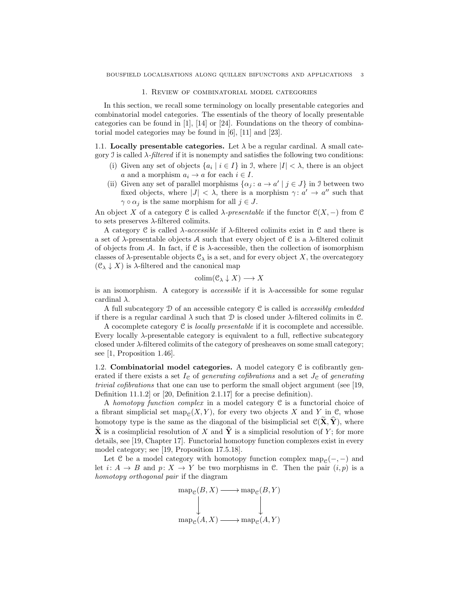#### 1. Review of combinatorial model categories

In this section, we recall some terminology on locally presentable categories and combinatorial model categories. The essentials of the theory of locally presentable categories can be found in  $[1]$ ,  $[14]$  or  $[24]$ . Foundations on the theory of combinatorial model categories may be found in [6], [11] and [23].

1.1. Locally presentable categories. Let  $\lambda$  be a regular cardinal. A small category J is called  $\lambda$ -*filtered* if it is nonempty and satisfies the following two conditions:

- (i) Given any set of objects  $\{a_i \mid i \in I\}$  in J, where  $|I| < \lambda$ , there is an object a and a morphism  $a_i \rightarrow a$  for each  $i \in I$ .
- (ii) Given any set of parallel morphisms  $\{\alpha_j : a \to a' \mid j \in J\}$  in J between two fixed objects, where  $|J| < \lambda$ , there is a morphism  $\gamma: a' \to a''$  such that  $\gamma \circ \alpha_j$  is the same morphism for all  $j \in J$ .

An object X of a category C is called  $\lambda$ -presentable if the functor  $\mathcal{C}(X, -)$  from C to sets preserves  $\lambda$ -filtered colimits.

A category C is called λ*-accessible* if λ-filtered colimits exist in C and there is a set of  $\lambda$ -presentable objects A such that every object of C is a  $\lambda$ -filtered colimit of objects from A. In fact, if C is  $\lambda$ -accessible, then the collection of isomorphism classes of  $\lambda$ -presentable objects  $\mathfrak{C}_{\lambda}$  is a set, and for every object X, the overcategory  $(\mathcal{C}_{\lambda} \downarrow X)$  is  $\lambda$ -filtered and the canonical map

$$
\mathrm{colim}(\mathcal{C}_{\lambda} \downarrow X) \longrightarrow X
$$

is an isomorphism. A category is *accessible* if it is λ-accessible for some regular cardinal  $\lambda$ .

A full subcategory D of an accessible category C is called is *accessibly embedded* if there is a regular cardinal  $\lambda$  such that  $\mathcal D$  is closed under  $\lambda$ -filtered colimits in  $\mathcal C$ .

A cocomplete category C is *locally presentable* if it is cocomplete and accessible. Every locally  $\lambda$ -presentable category is equivalent to a full, reflective subcategory closed under  $\lambda$ -filtered colimits of the category of presheaves on some small category; see [1, Proposition 1.46].

1.2. **Combinatorial model categories.** A model category  $C$  is cofibrantly generated if there exists a set  $I_{\mathcal{C}}$  of *generating cofibrations* and a set  $J_{\mathcal{C}}$  of *generating trivial cofibrations* that one can use to perform the small object argument (see [19, Definition 11.1.2] or [20, Definition 2.1.17] for a precise definition).

A *homotopy function complex* in a model category C is a functorial choice of a fibrant simplicial set  $map_{\mathcal{C}}(X, Y)$ , for every two objects X and Y in C, whose homotopy type is the same as the diagonal of the bisimplicial set  $\mathcal{C}(\widetilde{\mathbf{X}}, \widehat{\mathbf{Y}})$ , where  $\widetilde{\mathbf{X}}$  is a cosimplicial resolution of X and  $\widehat{\mathbf{Y}}$  is a simplicial resolution of Y; for more details, see [19, Chapter 17]. Functorial homotopy function complexes exist in every model category; see [19, Proposition 17.5.18].

Let C be a model category with homotopy function complex map<sub> $\mathcal{C}(-, -)$ </sub> and let  $i: A \rightarrow B$  and  $p: X \rightarrow Y$  be two morphisms in C. Then the pair  $(i, p)$  is a *homotopy orthogonal pair* if the diagram

$$
\operatorname{map}_{\mathcal{C}}(B, X) \longrightarrow \operatorname{map}_{\mathcal{C}}(B, Y)
$$
  

$$
\downarrow \qquad \qquad \downarrow
$$
  

$$
\operatorname{map}_{\mathcal{C}}(A, X) \longrightarrow \operatorname{map}_{\mathcal{C}}(A, Y)
$$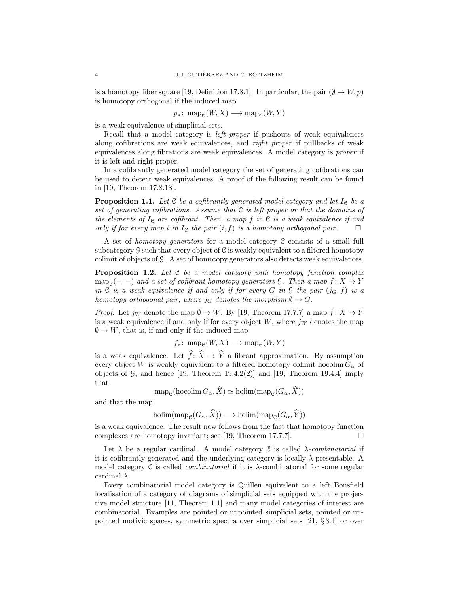is a homotopy fiber square [19, Definition 17.8.1]. In particular, the pair  $(\emptyset \to W, p)$ is homotopy orthogonal if the induced map

 $p_*\colon \mathrm{map}_{\mathcal{C}}(W, X) \longrightarrow \mathrm{map}_{\mathcal{C}}(W, Y)$ 

is a weak equivalence of simplicial sets.

Recall that a model category is *left proper* if pushouts of weak equivalences along cofibrations are weak equivalences, and *right proper* if pullbacks of weak equivalences along fibrations are weak equivalences. A model category is *proper* if it is left and right proper.

In a cofibrantly generated model category the set of generating cofibrations can be used to detect weak equivalences. A proof of the following result can be found in [19, Theorem 17.8.18].

**Proposition 1.1.** Let  $C$  be a cofibrantly generated model category and let  $I_C$  be a *set of generating cofibrations. Assume that* C *is left proper or that the domains of the elements of*  $I<sub>e</sub>$  *are cofibrant. Then, a map*  $f$  *in*  $C$  *is a weak equivalence if and only if for every map i* in  $I_e$  the pair  $(i, f)$  is a homotopy orthogonal pair.  $\Box$ 

A set of *homotopy generators* for a model category C consists of a small full subcategory  $\mathcal G$  such that every object of  $\mathcal C$  is weakly equivalent to a filtered homotopy colimit of objects of G. A set of homotopy generators also detects weak equivalences.

Proposition 1.2. *Let* C *be a model category with homotopy function complex* map<sub>C</sub> $(-,-)$  *and a set of cofibrant homotopy generators* G. Then a map  $f: X \to Y$ *in* C *is a weak equivalence if and only if for every* G *in* G *the pair*  $(j_G, f)$  *is a homotopy orthogonal pair, where*  $j_G$  *denotes the morphism*  $\emptyset \to G$ *.* 

*Proof.* Let  $j_W$  denote the map  $\emptyset \to W$ . By [19, Theorem 17.7.7] a map  $f: X \to Y$ is a weak equivalence if and only if for every object  $W$ , where  $j_W$  denotes the map  $\emptyset \to W$ , that is, if and only if the induced map

$$
f_*\colon \operatorname{map}_{\mathcal{C}}(W,X)\longrightarrow \operatorname{map}_{\mathcal{C}}(W,Y)
$$

is a weak equivalence. Let  $\widehat{f}$ :  $\widehat{X} \to \widehat{Y}$  a fibrant approximation. By assumption every object W is weakly equivalent to a filtered homotopy colimit hocolim  $G_{\alpha}$  of objects of  $\mathcal{G}$ , and hence [19, Theorem 19.4.2(2)] and [19, Theorem 19.4.4] imply that

$$
\operatorname{map}_{\mathcal{C}}(\operatorname{hocolim} G_{\alpha}, X) \simeq \operatorname{holim}(\operatorname{map}_{\mathcal{C}}(G_{\alpha}, X))
$$

and that the map

$$
\text{holim}(\text{map}_{\mathcal{C}}(G_{\alpha}, \tilde{X})) \longrightarrow \text{holim}(\text{map}_{\mathcal{C}}(G_{\alpha}, \tilde{Y}))
$$

is a weak equivalence. The result now follows from the fact that homotopy function complexes are homotopy invariant; see [19, Theorem 17.7.7].  $\Box$ 

Let  $\lambda$  be a regular cardinal. A model category C is called  $\lambda$ -*combinatorial* if it is cofibrantly generated and the underlying category is locally  $\lambda$ -presentable. A model category C is called *combinatorial* if it is λ-combinatorial for some regular cardinal  $\lambda$ .

Every combinatorial model category is Quillen equivalent to a left Bousfield localisation of a category of diagrams of simplicial sets equipped with the projective model structure [11, Theorem 1.1] and many model categories of interest are combinatorial. Examples are pointed or unpointed simplicial sets, pointed or unpointed motivic spaces, symmetric spectra over simplicial sets [21, § 3.4] or over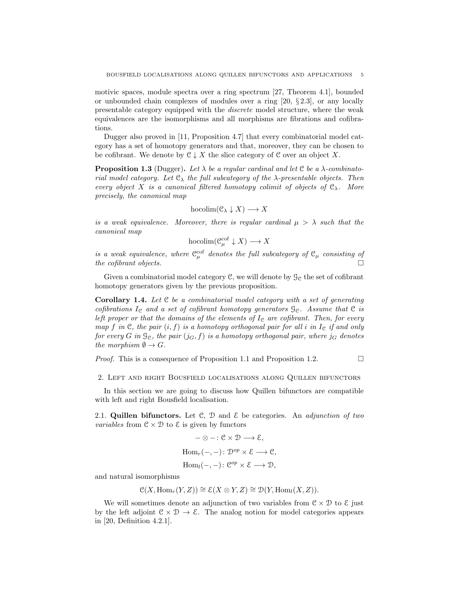motivic spaces, module spectra over a ring spectrum [27, Theorem 4.1], bounded or unbounded chain complexes of modules over a ring [20, § 2.3], or any locally presentable category equipped with the *discrete* model structure, where the weak equivalences are the isomorphisms and all morphisms are fibrations and cofibrations.

Dugger also proved in [11, Proposition 4.7] that every combinatorial model category has a set of homotopy generators and that, moreover, they can be chosen to be cofibrant. We denote by  $C \downarrow X$  the slice category of C over an object X.

**Proposition 1.3** (Dugger). Let  $\lambda$  be a regular cardinal and let  $\mathcal{C}$  be a  $\lambda$ -combinato*rial model category. Let* C<sup>λ</sup> *the full subcategory of the* λ*-presentable objects. Then every object* X *is a canonical filtered homotopy colimit of objects of*  $\mathcal{C}_{\lambda}$ *. More precisely, the canonical map*

$$
\text{hocolim}(\mathcal{C}_{\lambda}\downarrow X)\longrightarrow X
$$

*is a weak equivalence. Moreover, there is regular cardinal*  $\mu > \lambda$  *such that the canonical map*

$$
\text{hocolim}(\mathcal{C}^{\text{cof}}_{\mu} \downarrow X) \longrightarrow X
$$

*is a weak equivalence, where*  $C^{\rm cof}_{\mu}$  *denotes the full subcategory of*  $C_{\mu}$  *consisting of the cofibrant objects.*

Given a combinatorial model category  $\mathcal{C}$ , we will denote by  $\mathcal{G}_{\mathcal{C}}$  the set of cofibrant homotopy generators given by the previous proposition.

Corollary 1.4. *Let* C *be a combinatorial model category with a set of generating cofibrations*  $I_c$  *and a set of cofibrant homotopy generators*  $\mathcal{G}_c$ *. Assume that*  $\mathcal{C}$  *is left proper or that the domains of the elements of*  $I<sub>e</sub>$  *are cofibrant. Then, for every map* f in  $\mathcal{C}$ , the pair  $(i, f)$  *is a homotopy orthogonal pair for all i in*  $I_{\mathcal{C}}$  *if and only for every* G in  $\mathcal{G}_c$ , the pair  $(j_G, f)$  is a homotopy orthogonal pair, where  $j_G$  denotes *the morphism*  $\emptyset \to G$ *.* 

*Proof.* This is a consequence of Proposition 1.1 and Proposition 1.2.  $\Box$ 

2. Left and right Bousfield localisations along Quillen bifunctors

In this section we are going to discuss how Quillen bifunctors are compatible with left and right Bousfield localisation.

2.1. Quillen bifunctors. Let C, D and E be categories. An *adjunction of two variables* from  $C \times D$  to  $\mathcal E$  is given by functors

$$
-\otimes -: \mathcal{C} \times \mathcal{D} \longrightarrow \mathcal{E},
$$
  
Hom<sub>r</sub>(-, -):  $\mathcal{D}^{op} \times \mathcal{E} \longrightarrow \mathcal{C},$   
Hom<sub>l</sub>(-, -):  $\mathcal{C}^{op} \times \mathcal{E} \longrightarrow \mathcal{D},$ 

and natural isomorphisms

$$
\mathcal{C}(X, \text{Hom}_r(Y, Z)) \cong \mathcal{E}(X \otimes Y, Z) \cong \mathcal{D}(Y, \text{Hom}_l(X, Z)).
$$

We will sometimes denote an adjunction of two variables from  $\mathcal{C} \times \mathcal{D}$  to  $\mathcal{E}$  just by the left adjoint  $C \times D \to \mathcal{E}$ . The analog notion for model categories appears in [20, Definition 4.2.1].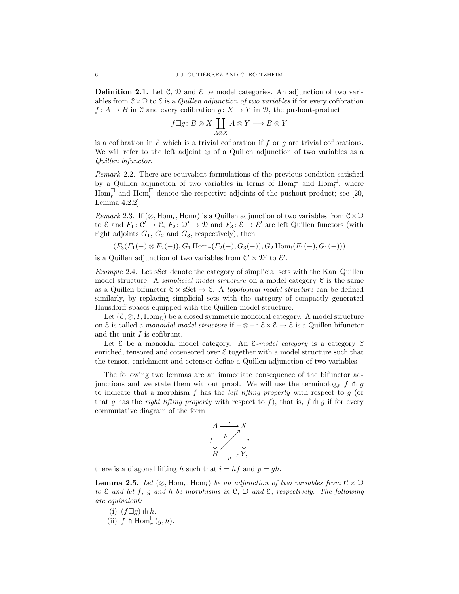**Definition 2.1.** Let  $\mathcal{C}, \mathcal{D}$  and  $\mathcal{E}$  be model categories. An adjunction of two variables from  $C \times D$  to  $\mathcal E$  is a *Quillen adjunction of two variables* if for every cofibration  $f: A \to B$  in C and every cofibration  $g: X \to Y$  in D, the pushout-product

$$
f \Box g \colon B \otimes X \coprod_{A \otimes X} A \otimes Y \longrightarrow B \otimes Y
$$

is a cofibration in  $\mathcal E$  which is a trivial cofibration if f or q are trivial cofibrations. We will refer to the left adjoint ⊗ of a Quillen adjunction of two variables as a *Quillen bifunctor*.

*Remark* 2.2*.* There are equivalent formulations of the previous condition satisfied by a Quillen adjunction of two variables in terms of  $\text{Hom}_r^{\square}$  and  $\text{Hom}_l^{\square}$ , where Hom<sub>r</sub> and Hom<sub>l</sub><sup> $\Box$ </sup> denote the respective adjoints of the pushout-product; see [20, Lemma 4.2.2].

*Remark* 2.3. If  $(\otimes, \text{Hom}_r, \text{Hom}_l)$  is a Quillen adjunction of two variables from  $\mathcal{C} \times \mathcal{D}$ to  $\mathcal E$  and  $F_1: \mathcal C' \to \mathcal C, F_2: \mathcal D' \to \mathcal D$  and  $F_3: \mathcal E \to \mathcal E'$  are left Quillen functors (with right adjoints  $G_1, G_2$  and  $G_3$ , respectively), then

$$
(F_3(F_1(-) \otimes F_2(-)), G_1 \operatorname{Hom}_r(F_2(-), G_3(-)), G_2 \operatorname{Hom}_l(F_1(-), G_1(-)))
$$

is a Quillen adjunction of two variables from  $\mathcal{C}' \times \mathcal{D}'$  to  $\mathcal{E}'$ .

*Example* 2.4*.* Let sSet denote the category of simplicial sets with the Kan–Quillen model structure. A *simplicial model structure* on a model category C is the same as a Quillen bifunctor  $C \times SSet \rightarrow C$ . A *topological model structure* can be defined similarly, by replacing simplicial sets with the category of compactly generated Hausdorff spaces equipped with the Quillen model structure.

Let  $(\mathcal{E}, \otimes, I, \text{Hom}_{\mathcal{E}})$  be a closed symmetric monoidal category. A model structure on E is called a *monoidal model structure* if −⊗−: E×E → E is a Quillen bifunctor and the unit  $I$  is cofibrant.

Let E be a monoidal model category. An E*-model category* is a category C enriched, tensored and cotensored over  $\mathcal E$  together with a model structure such that the tensor, enrichment and cotensor define a Quillen adjunction of two variables.

The following two lemmas are an immediate consequence of the bifunctor adjunctions and we state them without proof. We will use the terminology  $f \, \uparrow \, g$ to indicate that a morphism f has the *left lifting property* with respect to g (or that g has the *right lifting property* with respect to f), that is,  $f \uparrow g$  if for every commutative diagram of the form



there is a diagonal lifting h such that  $i = hf$  and  $p = gh$ .

**Lemma 2.5.** Let  $(\otimes, \text{Hom}_r, \text{Hom}_l)$  be an adjunction of two variables from  $\mathcal{C} \times \mathcal{D}$ *to* E *and let* f*,* g *and* h *be morphisms in* C*,* D *and* E*, respectively. The following are equivalent:*

(i) 
$$
(f \Box g) \pitchfork h
$$
.

(ii)  $f \uparrow \text{Hom}_r^{\square}(g, h)$ *.*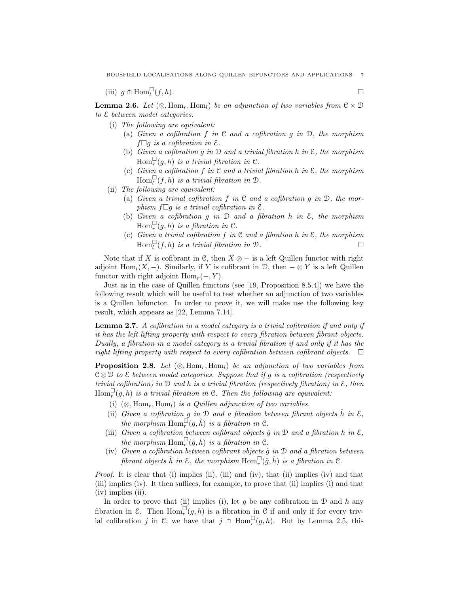(iii)  $g \uparrow \text{Hom}_{l}^{\square}$  $(f, h)$ .

**Lemma 2.6.** *Let*  $(\otimes, \text{Hom}_r, \text{Hom}_l)$  *be an adjunction of two variables from*  $\mathcal{C} \times \mathcal{D}$ *to* E *between model categories.*

- (i) *The following are equivalent:*
	- (a) *Given a cofibration* f *in* C *and a cofibration* g *in* D*, the morphism*  $f \Box g$  *is a cofibration in*  $\mathcal{E}$ *.*
	- (b) *Given a cofibration* g *in* D *and a trivial fibration* h *in* E*, the morphism*  $\text{Hom}_r^{\square}(g, h)$  *is a trivial fibration in*  $\mathfrak{C}$ *.*
	- From  $f(x, h)$  is a trivial fibration in  $\mathbb{C}$ .<br>
	(c) Given a cofibration f in  $\mathbb{C}$  and a trivial fibration h in  $\mathbb{E}$ , the morphism  $\text{Hom}_{l}^{\square}(f, h)$  *is a trivial fibration in*  $\mathcal{D}$ *.*
- (ii) *The following are equivalent:*
	- (a) *Given a trivial cofibration* f *in* C *and a cofibration* g *in* D*, the morphism*  $f \Box q$  *is a trivial cofibration in*  $\mathcal{E}$ *.*
	- (b) *Given a cofibration* g *in* D *and a fibration* h *in* E*, the morphism*  $\text{Hom}_r^{\square}(g, h)$  *is a fibration in*  $\mathfrak{C}$ *.*
	- (c) *Given a trivial cofibration* f *in* C *and a fibration* h *in* E*, the morphism*  $\text{Hom}_{l}^{\square}(f, h)$  *is a trivial fibration in*  $\mathcal{D}$ .

Note that if X is cofibrant in C, then  $X \otimes -$  is a left Quillen functor with right adjoint Hom<sub>l</sub>(X, –). Similarly, if Y is cofibrant in D, then  $-\otimes Y$  is a left Quillen functor with right adjoint  $\text{Hom}_r(-, Y)$ .

Just as in the case of Quillen functors (see [19, Proposition 8.5.4]) we have the following result which will be useful to test whether an adjunction of two variables is a Quillen bifunctor. In order to prove it, we will make use the following key result, which appears as [22, Lemma 7.14].

Lemma 2.7. *A cofibration in a model category is a trivial cofibration if and only if it has the left lifting property with respect to every fibration between fibrant objects. Dually, a fibration in a model category is a trivial fibration if and only if it has the right lifting property with respect to every cofibration between cofibrant objects.*  $\Box$ 

**Proposition 2.8.** Let  $(\otimes, \text{Hom}_r, \text{Hom}_l)$  *be an adjunction of two variables from* C ⊗ D *to* E *between model categories. Suppose that if* g *is a cofibration (respectively trivial cofibration) in* D *and* h *is a trivial fibration (respectively fibration) in* E*, then*  $Hom_r^{\square}(g,h)$  *is a trivial fibration in* C. Then the following are equivalent:

- (i)  $(\otimes, \text{Hom}_r, \text{Hom}_l)$  *is a Quillen adjunction of two variables.*
- (ii) *Given a cofibration g in*  $D$  *and a fibration between fibrant objects*  $\hat{h}$  *in*  $\mathcal{E}$ *, the morphism*  $\text{Hom}_{r}^{\square}(g, \hat{h})$  *is a fibration in*  $\mathfrak{C}$ *.*
- (iii) *Given a cofibration between cofibrant objects*  $\tilde{g}$  *in*  $D$  *and a fibration*  $h$  *in*  $\mathcal{E}$ *, the morphism*  $\text{Hom}_r^{\square}(\tilde{g}, h)$  *is a fibration in*  $\mathfrak{C}$ *.*
- (iv) *Given a cofibration between cofibrant objects*  $\tilde{g}$  *in*  $D$  *and a fibration between* fibrant objects  $\hat{h}$  in  $\mathcal{E}$ , the morphism  $\text{Hom}_r^{\square}(\tilde{g}, \hat{h})$  is a fibration in  $\mathcal{C}$ .

*Proof.* It is clear that (i) implies (ii), (iii) and (iv), that (ii) implies (iv) and that (iii) implies (iv). It then suffices, for example, to prove that (ii) implies (i) and that (iv) implies (ii).

In order to prove that (ii) implies (i), let g be any cofibration in  $D$  and h any fibration in  $\mathcal{E}$ . Then  $\text{Hom}_{r}^{\square}(g,h)$  is a fibration in C if and only if for every trivial cofibration j in C, we have that j  $\ln \text{Hom}_r^{\square}(g, h)$ . But by Lemma 2.5, this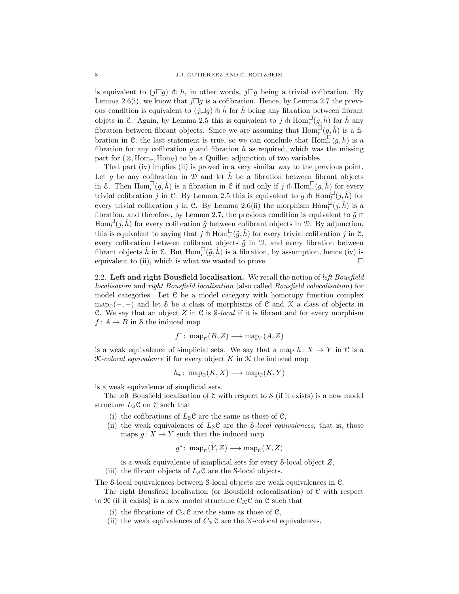is equivalent to  $(j\Box g) \pitchfork h$ , in other words,  $j\Box g$  being a trivial cofibration. By Lemma 2.6(i), we know that  $j\Box g$  is a cofibration. Hence, by Lemma 2.7 the previous condition is equivalent to  $(j\Box g)$   $\Uparrow \hat{h}$  for  $\hat{h}$  being any fibration between fibrant objets in  $\mathcal{E}$ . Again, by Lemma 2.5 this is equivalent to j  $\ln \text{Hom}_r^{\square}(g, \hat{h})$  for  $\hat{h}$  any fibration between fibrant objects. Since we are assuming that  $\text{Hom}_r^{\square}(g, \hat{h})$  is a fibration in C, the last statement is true, so we can conclude that  $\text{Hom}_r^{\square}(g, h)$  is a fibration for any cofibration g and fibration h as required, which was the missing part for  $(\otimes, \text{Hom}_r, \text{Hom}_l)$  to be a Quillen adjunction of two variables.

That part (iv) implies (ii) is proved in a very similar way to the previous point. Let g be any cofibration in  $\mathcal D$  and let  $\hat h$  be a fibration between fibrant objects in  $\mathcal{E}$ . Then  $\text{Hom}_r^{\square}(g, \hat{h})$  is a fibration in  $\mathcal{C}$  if and only if  $j \pitchfork \text{Hom}_r^{\square}(g, \hat{h})$  for every trivial cofibration j in C. By Lemma 2.5 this is equivalent to  $g \uparrow \text{Hom}_{I}^{\square}(j, \hat{h})$  for every trivial cofibration j in C. By Lemma 2.6(ii) the morphism  $\text{Hom}_{l}^{\square}(j,\hat{h})$  is a fibration, and therefore, by Lemma 2.7, the previous condition is equivalent to  $\tilde{g}$   $\uparrow$  $\text{Hom}_{l}^{\square}(j, \hat{h})$  for every cofibration  $\tilde{g}$  between cofibrant objects in  $\mathcal{D}$ . By adjunction, this is equivalent to saying that  $j \uparrow \text{Hom}_{r}^{\square}(\tilde{g}, \hat{h})$  for every trivial cofibration j in C, every cofibration between cofibrant objects  $\tilde{g}$  in  $\mathcal{D}$ , and every fibration between fibrant objects  $\hat{h}$  in  $\mathcal{E}$ . But  $\text{Hom}_{r}^{\square}(\tilde{g}, \hat{h})$  is a fibration, by assumption, hence (iv) is equivalent to (ii), which is what we wanted to prove.  $\Box$ 

2.2. Left and right Bousfield localisation. We recall the notion of *left Bousfield localisation* and *right Bousfield localisation* (also called *Bousfield colocalisation*) for model categories. Let C be a model category with homotopy function complex map<sub>C</sub>(-, -) and let S be a class of morphisms of C and X a class of objects in C. We say that an object Z in C is S*-local* if it is fibrant and for every morphism  $f: A \to B$  in S the induced map

$$
f^* \colon \mathrm{map}_{\mathcal{C}}(B, Z) \longrightarrow \mathrm{map}_{\mathcal{C}}(A, Z)
$$

is a weak equivalence of simplicial sets. We say that a map  $h: X \to Y$  in C is a K*-colocal equivalence* if for every object K in K the induced map

$$
h_*\colon \operatorname{map}_{\mathcal{C}}(K,X)\longrightarrow \operatorname{map}_{\mathcal{C}}(K,Y)
$$

is a weak equivalence of simplicial sets.

The left Bousfield localisation of  $C$  with respect to  $S$  (if it exists) is a new model structure  $L_{\mathcal{S}}\mathcal{C}$  on  $\mathcal{C}$  such that

- (i) the cofibrations of  $L_S \mathcal{C}$  are the same as those of  $\mathcal{C}$ ,
- (ii) the weak equivalences of  $L_S\mathcal{C}$  are the *S*-local equivalences, that is, those maps  $g: X \to Y$  such that the induced map

$$
g^* \colon \mathrm{map}_{\mathcal{C}}(Y, Z) \longrightarrow \mathrm{map}_{\mathcal{C}}(X, Z)
$$

is a weak equivalence of simplicial sets for every S-local object Z,

(iii) the fibrant objects of  $L_S\mathcal{C}$  are the S-local objects.

The S-local equivalences between S-local objects are weak equivalences in C.

The right Bousfield localisation (or Bousfield colocalisation) of C with respect to  $\mathcal K$  (if it exists) is a new model structure  $C_{\mathcal K}$ C on C such that

- (i) the fibrations of  $C_{\mathcal{K}}\mathcal{C}$  are the same as those of  $\mathcal{C}$ ,
- (ii) the weak equivalences of  $C_{\mathcal{K}}\mathcal{C}$  are the *K*-colocal equivalences,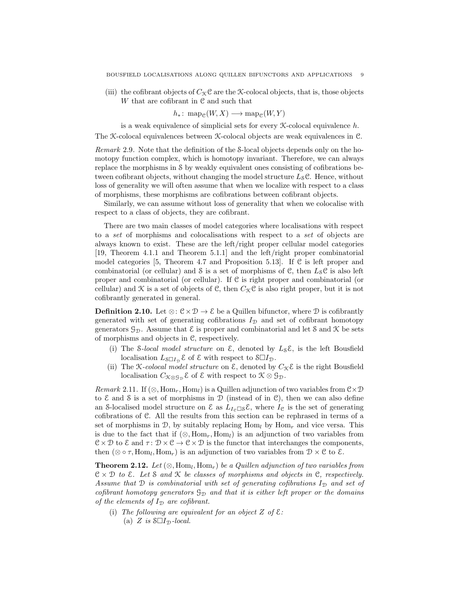(iii) the cofibrant objects of  $C_{\mathcal{K}}\mathcal{C}$  are the X-colocal objects, that is, those objects W that are cofibrant in  $\mathfrak C$  and such that

$$
h_*\colon \operatorname{map}_{\mathcal{C}}(W,X)\longrightarrow \operatorname{map}_{\mathcal{C}}(W,Y)
$$

is a weak equivalence of simplicial sets for every  $\mathcal{K}\text{-colocal equivalence } h$ . The K-colocal equivalences between K-colocal objects are weak equivalences in C.

*Remark* 2.9*.* Note that the definition of the S-local objects depends only on the homotopy function complex, which is homotopy invariant. Therefore, we can always replace the morphisms in S by weakly equivalent ones consisting of cofibrations between cofibrant objects, without changing the model structure  $L_8 \mathcal{C}$ . Hence, without loss of generality we will often assume that when we localize with respect to a class of morphisms, these morphisms are cofibrations between cofibrant objects.

Similarly, we can assume without loss of generality that when we colocalise with respect to a class of objects, they are cofibrant.

There are two main classes of model categories where localisations with respect to a *set* of morphisms and colocalisations with respect to a *set* of objects are always known to exist. These are the left/right proper cellular model categories [19, Theorem 4.1.1 and Theorem 5.1.1] and the left/right proper combinatorial model categories [5, Theorem 4.7 and Proposition 5.13]. If  $\mathcal C$  is left proper and combinatorial (or cellular) and  $\delta$  is a set of morphisms of  $\mathcal{C}$ , then  $L_{\delta} \mathcal{C}$  is also left proper and combinatorial (or cellular). If C is right proper and combinatorial (or cellular) and  $\mathcal K$  is a set of objects of C, then  $C_{\mathcal K}$ C is also right proper, but it is not cofibrantly generated in general.

**Definition 2.10.** Let  $\otimes$ :  $\mathcal{C} \times \mathcal{D} \rightarrow \mathcal{E}$  be a Quillen bifunctor, where  $\mathcal{D}$  is cofibrantly generated with set of generating cofibrations  $I_{\mathcal{D}}$  and set of cofibrant homotopy generators  $\mathcal{G}_{\mathcal{D}}$ . Assume that  $\mathcal{E}$  is proper and combinatorial and let S and X be sets of morphisms and objects in C, respectively.

- (i) The *S*-local model structure on  $\mathcal{E}$ , denoted by  $L_{S} \mathcal{E}$ , is the left Bousfield localisation  $L_{\delta \Box I_{\mathcal{D}}} \mathcal{E}$  of  $\mathcal{E}$  with respect to  $\mathcal{S} \Box I_{\mathcal{D}}$ .
- (ii) The *K*-colocal model structure on  $\mathcal{E}$ , denoted by  $C_{\mathcal{K}}\mathcal{E}$  is the right Bousfield localisation  $C_{\mathfrak{K} \otimes \mathfrak{G}_{\mathcal{D}}} \varepsilon$  of  $\varepsilon$  with respect to  $\mathfrak{K} \otimes \mathfrak{G}_{\mathcal{D}}$ .

*Remark* 2.11. If  $(\otimes, \text{Hom}_r, \text{Hom}_l)$  is a Quillen adjunction of two variables from  $\mathfrak{C} \times \mathfrak{D}$ to  $\mathcal E$  and  $\mathcal S$  is a set of morphisms in  $\mathcal D$  (instead of in  $\mathcal C$ ), then we can also define an S-localised model structure on  $\mathcal E$  as  $L_{I_{\mathcal P} \square \mathcal S} \mathcal E$ , where  $I_{\mathcal C}$  is the set of generating cofibrations of C. All the results from this section can be rephrased in terms of a set of morphisms in D, by suitably replacing  $\text{Hom}_{l}$  by  $\text{Hom}_{r}$  and vice versa. This is due to the fact that if  $(\otimes, \text{Hom}_r, \text{Hom}_l)$  is an adjunction of two variables from  $\mathcal{C} \times \mathcal{D}$  to  $\mathcal{E}$  and  $\tau : \mathcal{D} \times \mathcal{C} \to \mathcal{C} \times \mathcal{D}$  is the functor that interchanges the components, then  $(\otimes \circ \tau, \text{Hom}_l, \text{Hom}_r)$  is an adjunction of two variables from  $\mathcal{D} \times \mathcal{C}$  to  $\mathcal{E}$ .

**Theorem 2.12.** Let  $(\otimes, \text{Hom}_l, \text{Hom}_r)$  be a Quillen adjunction of two variables from C × D *to* E*. Let* S *and* K *be classes of morphisms and objects in* C*, respectively.* Assume that D *is combinatorial with set of generating cofibrations*  $I_p$  *and set of cofibrant homotopy generators*  $\mathcal{G}_{\mathcal{D}}$  *and that it is either left proper or the domains of the elements of*  $I_{\mathcal{D}}$  *are cofibrant.* 

(i) The following are equivalent for an object  $Z$  of  $\mathcal{E}$ : (a)  $Z$  *is*  $\mathcal{S} \Box I_{\mathcal{D}}$ *-local.*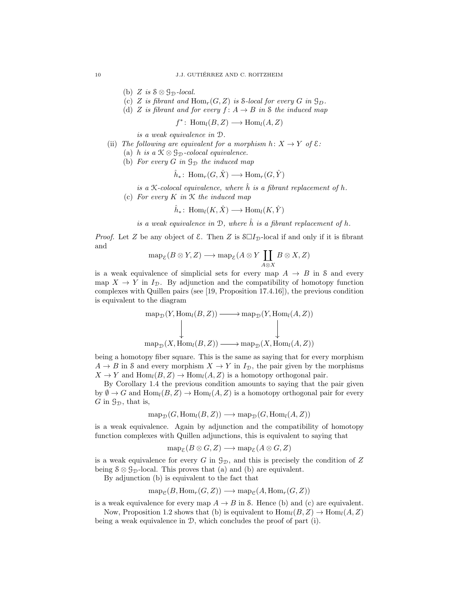- (b)  $Z$  *is*  $S \otimes \mathcal{G}_D$ *-local.*
- (c) Z *is fibrant and*  $Hom_r(G, Z)$  *is* S-local for every G in  $\mathcal{G}_D$ .
- (d) Z *is fibrant and for every*  $f: A \rightarrow B$  *in* S *the induced map*

 $f^*$ : Hom<sub>l</sub> $(B, Z) \longrightarrow$  Hom<sub>l</sub> $(A, Z)$ 

*is a weak equivalence in* D*.*

- (ii) *The following are equivalent for a morphism*  $h: X \to Y$  *of*  $\mathcal{E}:$ 
	- (a) h *is a*  $K \otimes \mathcal{G}_D$ -colocal equivalence.
	- (b) *For every*  $G$  *in*  $\mathcal{G}_{\mathcal{D}}$  *the induced map*

$$
\hat{h}_* \colon \text{Hom}_r(G, \hat{X}) \longrightarrow \text{Hom}_r(G, \hat{Y})
$$

*is a*  $K$ -colocal equivalence, where  $\hat{h}$  *is a fibrant replacement of*  $h$ . (c) *For every* K *in* K *the induced map*

$$
\hat{h}_* \colon \operatorname{Hom}_l(K, \hat{X}) \longrightarrow \operatorname{Hom}_l(K, \hat{Y})
$$

*is a weak equivalence in*  $D$ *, where*  $\hat{h}$  *is a fibrant replacement of*  $h$ *.* 

*Proof.* Let Z be any object of  $\mathcal{E}$ . Then Z is  $\mathcal{S} \Box I_{\mathcal{D}}$ -local if and only if it is fibrant and

$$
\operatorname{map}_{\mathcal{E}}(B \otimes Y, Z) \longrightarrow \operatorname{map}_{\mathcal{E}}(A \otimes Y \coprod_{A \otimes X} B \otimes X, Z)
$$

is a weak equivalence of simplicial sets for every map  $A \rightarrow B$  in S and every map  $X \to Y$  in  $I_{\mathcal{D}}$ . By adjunction and the compatibility of homotopy function complexes with Quillen pairs (see [19, Proposition 17.4.16]), the previous condition is equivalent to the diagram

$$
\operatorname{map}_{\mathcal{D}}(Y, \operatorname{Hom}_{l}(B, Z)) \longrightarrow \operatorname{map}_{\mathcal{D}}(Y, \operatorname{Hom}_{l}(A, Z))
$$
\n
$$
\downarrow \qquad \qquad \downarrow
$$
\n
$$
\operatorname{map}_{\mathcal{D}}(X, \operatorname{Hom}_{l}(B, Z)) \longrightarrow \operatorname{map}_{\mathcal{D}}(X, \operatorname{Hom}_{l}(A, Z))
$$

being a homotopy fiber square. This is the same as saying that for every morphism  $A \rightarrow B$  in S and every morphism  $X \rightarrow Y$  in  $I_{\mathcal{D}}$ , the pair given by the morphisms  $X \to Y$  and  $\text{Hom}_{l}(B, Z) \to \text{Hom}_{l}(A, Z)$  is a homotopy orthogonal pair.

By Corollary 1.4 the previous condition amounts to saying that the pair given by  $\emptyset \to G$  and  $\text{Hom}_l(B, Z) \to \text{Hom}_l(A, Z)$  is a homotopy orthogonal pair for every G in  $\mathcal{G}_{\mathcal{D}}$ , that is,

$$
\operatorname{map}_{\mathcal{D}}(G, \operatorname{Hom}_{l}(B, Z)) \longrightarrow \operatorname{map}_{\mathcal{D}}(G, \operatorname{Hom}_{l}(A, Z))
$$

is a weak equivalence. Again by adjunction and the compatibility of homotopy function complexes with Quillen adjunctions, this is equivalent to saying that

$$
\operatorname{map}_{\mathcal{E}}(B \otimes G, Z) \longrightarrow \operatorname{map}_{\mathcal{E}}(A \otimes G, Z)
$$

is a weak equivalence for every  $G$  in  $\mathcal{G}_{\mathcal{D}}$ , and this is precisely the condition of  $Z$ being  $S \otimes G_{\mathcal{D}}$ -local. This proves that (a) and (b) are equivalent.

By adjunction (b) is equivalent to the fact that

$$
\text{map}_{\mathcal{C}}(B, \text{Hom}_r(G, Z)) \longrightarrow \text{map}_{\mathcal{C}}(A, \text{Hom}_r(G, Z))
$$

is a weak equivalence for every map  $A \to B$  in S. Hence (b) and (c) are equivalent.

Now, Proposition 1.2 shows that (b) is equivalent to  $\text{Hom}_{l}(B, Z) \to \text{Hom}_{l}(A, Z)$ being a weak equivalence in D, which concludes the proof of part (i).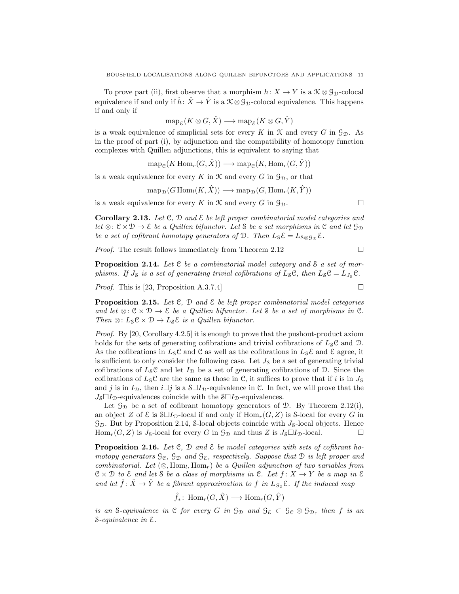To prove part (ii), first observe that a morphism  $h: X \to Y$  is a  $\mathcal{K} \otimes \mathcal{G}_{\mathcal{D}}$ -colocal equivalence if and only if  $\hat{h}$ :  $\hat{X} \to \hat{Y}$  is a  $\mathcal{K} \otimes \mathcal{G}_{\mathcal{D}}$ -colocal equivalence. This happens if and only if

$$
\text{map}_{\mathcal{E}}(K\otimes G,\hat{X})\longrightarrow \text{map}_{\mathcal{E}}(K\otimes G,\hat{Y})
$$

is a weak equivalence of simplicial sets for every K in  $\mathcal K$  and every G in  $\mathcal G_{\mathcal D}$ . As in the proof of part (i), by adjunction and the compatibility of homotopy function complexes with Quillen adjunctions, this is equivalent to saying that

$$
\operatorname{map}_{\mathcal{C}}(K\operatorname{Hom}_r(G,\hat{X})) \longrightarrow \operatorname{map}_{\mathcal{C}}(K,\operatorname{Hom}_r(G,\hat{Y}))
$$

is a weak equivalence for every K in  $\mathcal K$  and every G in  $\mathcal G_{\mathcal D}$ , or that

$$
\text{map}_{\mathcal{D}}(G\text{Hom}_{l}(K,\hat{X})) \longrightarrow \text{map}_{\mathcal{D}}(G,\text{Hom}_{r}(K,\hat{Y}))
$$

is a weak equivalence for every K in X and every G in  $\mathcal{G}_{\mathcal{D}}$ .

Corollary 2.13. *Let* C*,* D *and* E *be left proper combinatorial model categories and let* ⊗:  $C \times D \rightarrow \mathcal{E}$  *be a Quillen bifunctor. Let* S *be a set morphisms in* C *and let*  $\mathcal{G}_{\mathcal{D}}$ *be a set of cofibrant homotopy generators of*  $\mathcal{D}$ *. Then*  $L_S \mathcal{E} = L_{S \otimes \mathcal{G}_D} \mathcal{E}$ *.* 

*Proof.* The result follows immediately from Theorem 2.12 □

Proposition 2.14. *Let* C *be a combinatorial model category and* S *a set of morphisms. If*  $J_s$  *is a set of generating trivial cofibrations of*  $L_s \mathcal{C}$ *, then*  $L_s \mathcal{C} = L_{J_s} \mathcal{C}$ *.* 

*Proof.* This is [23, Proposition A.3.7.4]

Proposition 2.15. *Let* C*,* D *and* E *be left proper combinatorial model categories and let*  $\otimes$ :  $\mathcal{C} \times \mathcal{D} \rightarrow \mathcal{E}$  *be a Quillen bifunctor. Let* S *be a set of morphisms in*  $\mathcal{C}$ *. Then* ⊗:  $L_S \mathcal{C} \times \mathcal{D} \rightarrow L_S \mathcal{E}$  *is a Quillen bifunctor.* 

*Proof.* By [20, Corollary 4.2.5] it is enough to prove that the pushout-product axiom holds for the sets of generating cofibrations and trivial cofibrations of  $L_{\mathcal{S}}\mathcal{C}$  and  $\mathcal{D}$ . As the cofibrations in  $L_S\mathcal{C}$  and  $\mathcal{C}$  as well as the cofibrations in  $L_S\mathcal{E}$  and  $\mathcal{E}$  agree, it is sufficient to only consider the following case. Let  $J_8$  be a set of generating trivial cofibrations of  $L_{\mathcal{S}}\mathcal{C}$  and let  $I_{\mathcal{D}}$  be a set of generating cofibrations of  $\mathcal{D}$ . Since the cofibrations of  $L_8C$  are the same as those in C, it suffices to prove that if i is in  $J_8$ and j is in  $I_{\mathcal{D}}$ , then  $i\Box j$  is a  $\mathcal{S} \Box I_{\mathcal{D}}$ -equivalence in C. In fact, we will prove that the  $J_{\mathcal{S}}\Box I_{\mathcal{D}}$ -equivalences coincide with the  $\mathcal{S}\Box I_{\mathcal{D}}$ -equivalences.

Let  $\mathcal{G}_{\mathcal{D}}$  be a set of cofibrant homotopy generators of  $\mathcal{D}$ . By Theorem 2.12(i), an object Z of  $\mathcal E$  is  $\mathcal S\square I_{\mathcal D}$ -local if and only if  $\text{Hom}_r(G, Z)$  is S-local for every G in  $\mathcal{G}_D$ . But by Proposition 2.14, S-local objects coincide with  $J_s$ -local objects. Hence Hom<sub>r</sub>(G, Z) is  $J_8$ -local for every G in  $\mathcal{G}_{\mathcal{D}}$  and thus Z is  $J_8\square I_{\mathcal{D}}$ -local.

Proposition 2.16. *Let* C*,* D *and* E *be model categories with sets of cofibrant homotopy generators*  $\mathcal{G}_{e}$ ,  $\mathcal{G}_{\mathcal{D}}$  *and*  $\mathcal{G}_{\varepsilon}$ *, respectively. Suppose that*  $\mathcal{D}$  *is left proper and combinatorial.* Let  $(\otimes, \text{Hom}_l, \text{Hom}_r)$  *be a Quillen adjunction of two variables from*  $C \times D$  *to*  $\mathcal{E}$  *and let*  $S$  *be a class of morphisms in*  $C$ *. Let*  $f: X \rightarrow Y$  *be a map in*  $\mathcal{E}$ *and let*  $\hat{f}$ :  $\hat{X} \rightarrow \hat{Y}$  *be a fibrant approximation to* f *in*  $L_{S_c}$   $\mathcal{E}$ *. If the induced map* 

$$
\hat{f}_* \colon \text{Hom}_r(G, \hat{X}) \longrightarrow \text{Hom}_r(G, \hat{Y})
$$

*is an* S-equivalence in C for every G in  $\mathcal{G}_D$  and  $\mathcal{G}_{\mathcal{E}} \subset \mathcal{G}_{\mathcal{C}} \otimes \mathcal{G}_D$ , then f is an S*-equivalence in* E*.*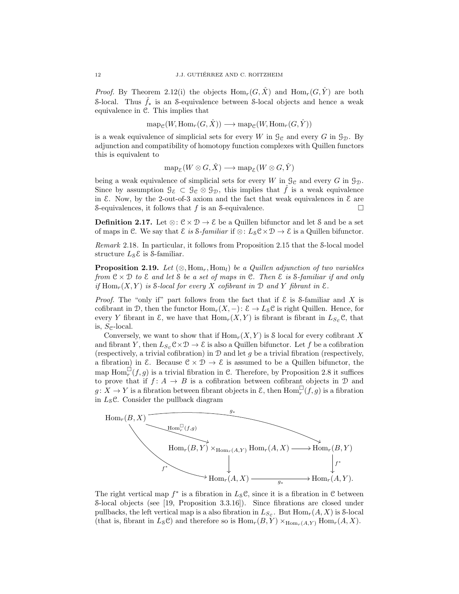*Proof.* By Theorem 2.12(i) the objects  $\text{Hom}_r(G, \hat{X})$  and  $\text{Hom}_r(G, \hat{Y})$  are both S-local. Thus  $\hat{f}_*$  is an S-equivalence between S-local objects and hence a weak equivalence in C. This implies that

$$
\text{map}_{\mathcal{C}}(W, \text{Hom}_r(G, \hat{X})) \longrightarrow \text{map}_{\mathcal{C}}(W, \text{Hom}_r(G, \hat{Y}))
$$

is a weak equivalence of simplicial sets for every W in  $\mathcal{G}_e$  and every G in  $\mathcal{G}_D$ . By adjunction and compatibility of homotopy function complexes with Quillen functors this is equivalent to

$$
\operatorname{map}_{\mathcal{E}}(W \otimes G, \hat{X}) \longrightarrow \operatorname{map}_{\mathcal{E}}(W \otimes G, \hat{Y})
$$

being a weak equivalence of simplicial sets for every W in  $\mathcal{G}_{\mathcal{C}}$  and every G in  $\mathcal{G}_{\mathcal{D}}$ . Since by assumption  $\mathcal{G}_{\mathcal{E}} \subset \mathcal{G}_{\mathcal{C}} \otimes \mathcal{G}_{\mathcal{D}}$ , this implies that  $\hat{f}$  is a weak equivalence in  $\&$ . Now, by the 2-out-of-3 axiom and the fact that weak equivalences in  $\&$  are S-equivalences, it follows that f is an S-equivalence.  $\Box$ 

**Definition 2.17.** Let  $\otimes : \mathcal{C} \times \mathcal{D} \to \mathcal{E}$  be a Quillen bifunctor and let S and be a set of maps in C. We say that  $\mathcal E$  *is*  $\mathcal S$ -*familiar* if  $\otimes$ :  $L_{\mathcal S} \mathcal C \times \mathcal D \to \mathcal E$  is a Quillen bifunctor.

*Remark* 2.18*.* In particular, it follows from Proposition 2.15 that the S-local model structure  $L_{\mathcal{S}}\mathcal{E}$  is S-familiar.

**Proposition 2.19.** *Let*  $(\otimes, \text{Hom}_r, \text{Hom}_l)$  *be a Quillen adjunction of two variables from* C × D *to* E *and let* S *be a set of maps in* C*. Then* E *is* S*-familiar if and only if*  $Hom_r(X, Y)$  *is*  $\delta$ *-local for every*  $X$  *cofibrant in*  $D$  *and*  $Y$  *fibrant in*  $\mathcal{E}$ *.* 

*Proof.* The "only if" part follows from the fact that if  $\mathcal E$  is S-familiar and X is cofibrant in D, then the functor  $\text{Hom}_r(X, -)$ :  $\mathcal{E} \to L_{\mathcal{S}} \mathcal{C}$  is right Quillen. Hence, for every Y fibrant in  $\mathcal{E}$ , we have that  $\text{Hom}_r(X, Y)$  is fibrant is fibrant in  $L_{S_{\mathcal{C}}} \mathcal{C}$ , that is,  $S_{\mathcal{C}}$ -local.

Conversely, we want to show that if  $\text{Hom}_r(X, Y)$  is S local for every cofibrant X and fibrant Y, then  $L_{S_{\mathcal{C}}}\mathcal{C}\times\mathcal{D}\to \mathcal{E}$  is also a Quillen bifunctor. Let f be a cofibration (respectively, a trivial cofibration) in  $\mathcal D$  and let g be a trivial fibration (respectively, a fibration) in  $\mathcal{E}$ . Because  $\mathcal{C} \times \mathcal{D} \to \mathcal{E}$  is assumed to be a Quillen bifunctor, the map  $\text{Hom}_r^{\square}(f,g)$  is a trivial fibration in C. Therefore, by Proposition 2.8 it suffices to prove that if  $f: A \to B$  is a cofibration between cofibrant objects in  $D$  and  $g: X \to Y$  is a fibration between fibrant objects in  $\mathcal{E}$ , then  $\text{Hom}_r^{\square}(f, g)$  is a fibration in  $L_S$ C. Consider the pullback diagram



The right vertical map  $f^*$  is a fibration in  $L_{\mathcal{S}}\mathcal{C}$ , since it is a fibration in  $\mathcal{C}$  between ∗ S-local objects (see [19, Proposition 3.3.16]). Since fibrations are closed under pullbacks, the left vertical map is a also fibration in  $L_{S_{\mathcal{C}}}$ . But  $\text{Hom}_r(A, X)$  is S-local (that is, fibrant in  $L_{S}C$ ) and therefore so is  $\text{Hom}_{r}(B, Y) \times_{\text{Hom}_{r}(A, Y)} \text{Hom}_{r}(A, X)$ .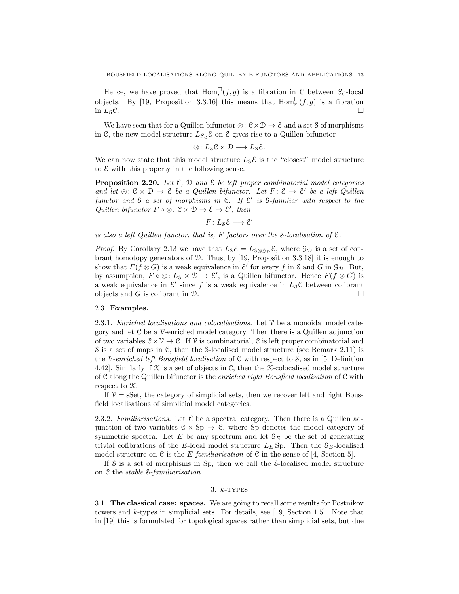Hence, we have proved that  $\text{Hom}_r^{\square}(f,g)$  is a fibration in C between  $S_{\mathcal{C}}$ -local objects. By [19, Proposition 3.3.16] this means that  $\text{Hom}_r^{\square}(f,g)$  is a fibration in  $L_8$ C.

We have seen that for a Quillen bifunctor  $\otimes : \mathcal{C} \times \mathcal{D} \to \mathcal{E}$  and a set S of morphisms in C, the new model structure  $L_{S_{\mathcal{C}}} \mathcal{E}$  on  $\mathcal{E}$  gives rise to a Quillen bifunctor

$$
\otimes\colon L_{\mathcal{S}}\mathcal{C}\times \mathcal{D}\longrightarrow L_{\mathcal{S}}\mathcal{E}.
$$

We can now state that this model structure  $L_S \mathcal{E}$  is the "closest" model structure to  $\mathcal E$  with this property in the following sense.

Proposition 2.20. *Let* C*,* D *and* E *be left proper combinatorial model categories and let* ⊗:  $C \times D$  →  $E$  *be a Quillen bifunctor. Let*  $F: E \rightarrow E'$  *be a left Quillen functor and* S *a set of morphisms in* C*. If* E ′ *is* S*-familiar with respect to the Quillen bifunctor*  $F \circ \otimes : \mathcal{C} \times \mathcal{D} \rightarrow \mathcal{E} \rightarrow \mathcal{E}'$ , then

$$
F\colon L_8\mathcal{E}\longrightarrow \mathcal{E}'
$$

*is also a left Quillen functor, that is,* F *factors over the* S*-localisation of* E*.*

*Proof.* By Corollary 2.13 we have that  $L_{\mathcal{S}}\mathcal{E} = L_{\mathcal{S}\otimes\mathcal{G}_{\mathcal{D}}}\mathcal{E}$ , where  $\mathcal{G}_{\mathcal{D}}$  is a set of cofibrant homotopy generators of D. Thus, by [19, Proposition 3.3.18] it is enough to show that  $F(f \otimes G)$  is a weak equivalence in  $\mathcal{E}'$  for every f in S and G in  $\mathcal{G}_{\mathcal{D}}$ . But, by assumption,  $F \circ \otimes : L_8 \times \mathcal{D} \to \mathcal{E}'$ , is a Quillen bifunctor. Hence  $F(f \otimes G)$  is a weak equivalence in  $\mathcal{E}'$  since f is a weak equivalence in  $L_{\mathcal{S}}\mathcal{C}$  between cofibrant objects and G is cofibrant in  $\mathcal{D}$ .

#### 2.3. Examples.

2.3.1. *Enriched localisations and colocalisations.* Let V be a monoidal model category and let C be a V-enriched model category. Then there is a Quillen adjunction of two variables  $C \times V \to C$ . If V is combinatorial, C is left proper combinatorial and S is a set of maps in C, then the S-localised model structure (see Remark 2.11) is the V*-enriched left Bousfield localisation* of C with respect to S, as in [5, Definition 4.42]. Similarly if  $K$  is a set of objects in C, then the X-colocalised model structure of C along the Quillen bifunctor is the *enriched right Bousfield localisation* of C with respect to K.

If  $V = sSet$ , the category of simplicial sets, then we recover left and right Bousfield localisations of simplicial model categories.

2.3.2. *Familiarisations.* Let C be a spectral category. Then there is a Quillen adjunction of two variables  $C \times Sp \to C$ , where Sp denotes the model category of symmetric spectra. Let  $E$  be any spectrum and let  $S_E$  be the set of generating trivial cofibrations of the E-local model structure  $L_E$  Sp. Then the  $S_E$ -localised model structure on  $\mathcal C$  is the *E-familiarisation* of  $\mathcal C$  in the sense of [4, Section 5].

If S is a set of morphisms in Sp, then we call the S-localised model structure on C the *stable* S*-familiarisation*.

#### 3.  $k$ -TYPES

3.1. The classical case: spaces. We are going to recall some results for Postnikov towers and k-types in simplicial sets. For details, see [19, Section 1.5]. Note that in [19] this is formulated for topological spaces rather than simplicial sets, but due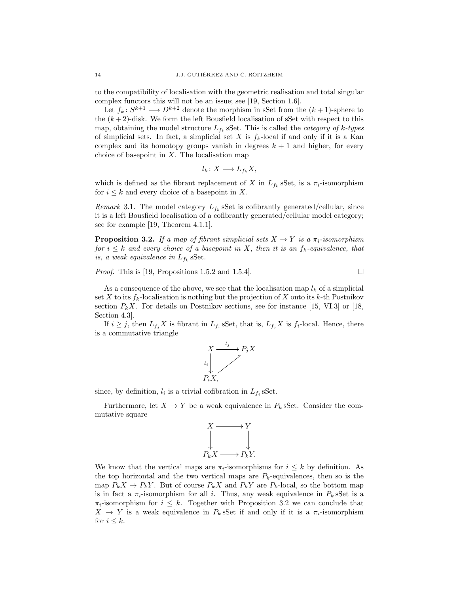to the compatibility of localisation with the geometric realisation and total singular complex functors this will not be an issue; see [19, Section 1.6].

Let  $f_k: S^{k+1} \longrightarrow D^{k+2}$  denote the morphism in sSet from the  $(k+1)$ -sphere to the  $(k+2)$ -disk. We form the left Bousfield localisation of sSet with respect to this map, obtaining the model structure Lf<sup>k</sup> sSet. This is called the *category of* k*-types* of simplicial sets. In fact, a simplicial set X is  $f_k$ -local if and only if it is a Kan complex and its homotopy groups vanish in degrees  $k + 1$  and higher, for every choice of basepoint in  $X$ . The localisation map

$$
l_k \colon X \longrightarrow L_{f_k} X,
$$

which is defined as the fibrant replacement of X in  $L_{f_k}$  sSet, is a  $\pi_i$ -isomorphism for  $i \leq k$  and every choice of a basepoint in X.

*Remark* 3.1. The model category  $L_{f_k}$  sSet is cofibrantly generated/cellular, since it is a left Bousfield localisation of a cofibrantly generated/cellular model category; see for example [19, Theorem 4.1.1].

**Proposition 3.2.** *If a map of fibrant simplicial sets*  $X \rightarrow Y$  *is a*  $\pi_i$ *-isomorphism for*  $i \leq k$  *and every choice of a basepoint in* X, then it is an  $f_k$ -equivalence, that *is, a weak equivalence in*  $L_{f_k}$  sSet.

*Proof.* This is [19, Propositions 1.5.2 and 1.5.4].

As a consequence of the above, we see that the localisation map  $l_k$  of a simplicial set X to its  $f_k$ -localisation is nothing but the projection of X onto its k-th Postnikov section  $P_k X$ . For details on Postnikov sections, see for instance [15, VI.3] or [18, Section 4.3].

If  $i \geq j$ , then  $L_{f_i} X$  is fibrant in  $L_{f_i}$  sSet, that is,  $L_{f_j} X$  is  $f_i$ -local. Hence, there is a commutative triangle



since, by definition,  $l_i$  is a trivial cofibration in  $L_{f_i}$  sSet.

Furthermore, let  $X \to Y$  be a weak equivalence in  $P_k$  sSet. Consider the commutative square

$$
\begin{array}{ccc}\nX & \longrightarrow & Y \\
\downarrow & & \downarrow \\
P_k X & \longrightarrow & P_k Y.\n\end{array}
$$

We know that the vertical maps are  $\pi_i$ -isomorphisms for  $i \leq k$  by definition. As the top horizontal and the two vertical maps are  $P_k$ -equivalences, then so is the map  $P_k X \to P_k Y$ . But of course  $P_k X$  and  $P_k Y$  are  $P_k$ -local, so the bottom map is in fact a  $\pi_i$ -isomorphism for all i. Thus, any weak equivalence in  $P_k$  sSet is a  $\pi_i$ -isomorphism for  $i \leq k$ . Together with Proposition 3.2 we can conclude that  $X \to Y$  is a weak equivalence in  $P_k$  sset if and only if it is a  $\pi_i$ -isomorphism for  $i \leq k$ .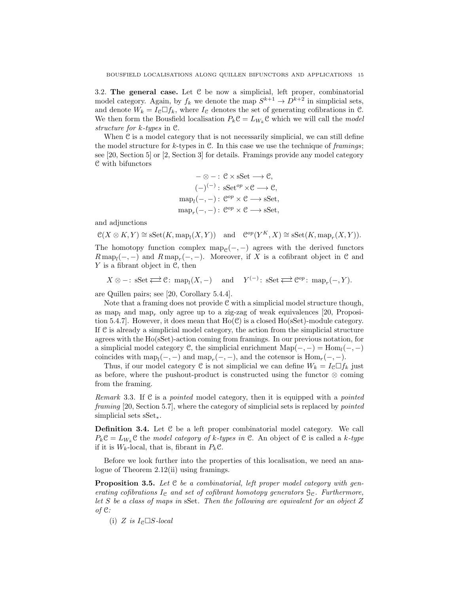3.2. The general case. Let  $C$  be now a simplicial, left proper, combinatorial model category. Again, by  $f_k$  we denote the map  $S^{k+1} \to D^{k+2}$  in simplicial sets, and denote  $W_k = I_c \Box f_k$ , where  $I_c$  denotes the set of generating cofibrations in C. We then form the Bousfield localisation  $P_k \mathcal{C} = L_{W_k} \mathcal{C}$  which we will call the *model structure for* k*-types* in C.

When  $C$  is a model category that is not necessarily simplicial, we can still define the model structure for k-types in C. In this case we use the technique of *framings*; see [20, Section 5] or [2, Section 3] for details. Framings provide any model category C with bifunctors

$$
-\otimes - : \mathcal{C} \times \mathbf{sSet} \longrightarrow \mathcal{C},
$$

$$
(-)^{(-)} : \mathbf{sSet}^{op} \times \mathcal{C} \longrightarrow \mathcal{C},
$$

$$
\operatorname{map}_l(-,-) : \mathcal{C}^{op} \times \mathcal{C} \longrightarrow \mathbf{sSet},
$$

$$
\operatorname{map}_r(-,-) : \mathcal{C}^{op} \times \mathcal{C} \longrightarrow \mathbf{sSet},
$$

and adjunctions

 $\mathcal{C}(X \otimes K, Y) \cong \text{sSet}(K, \text{map}_l(X, Y))$  and  $\mathcal{C}^{op}(Y^K, X) \cong \text{sSet}(K, \text{map}_r(X, Y)).$ 

The homotopy function complex map<sub>e</sub> $(-, -)$  agrees with the derived functors  $R \text{ map}_{l}(-,-)$  and  $R \text{ map}_{r}(-,-)$ . Moreover, if X is a cofibrant object in C and Y is a fibrant object in C, then

 $X \otimes -: \text{ sSet} \rightleftarrows \mathfrak{C}: \text{ map}_l(X, -) \quad \text{ and } \quad Y^{(-):} \text{ sSet} \rightleftarrows \mathfrak{C}^{op}: \text{ map}_r(-, Y).$ 

are Quillen pairs; see [20, Corollary 5.4.4].

Note that a framing does not provide  $C$  with a simplicial model structure though, as map<sub>l</sub> and map<sub>r</sub> only agree up to a zig-zag of weak equivalences [20, Proposition 5.4.7]. However, it does mean that  $Ho(\mathcal{C})$  is a closed  $Ho(\mathrm{sSet})$ -module category. If C is already a simplicial model category, the action from the simplicial structure agrees with the Ho(sSet)-action coming from framings. In our previous notation, for a simplicial model category C, the simplicial enrichment  $\text{Map}(-, -) = \text{Hom}_{l}(-, -)$ coincides with  $\text{map}_l(-,-)$  and  $\text{map}_r(-,-)$ , and the cotensor is  $\text{Hom}_r(-,-)$ .

Thus, if our model category C is not simplicial we can define  $W_k = I_{\mathcal{C}} \Box f_k$  just as before, where the pushout-product is constructed using the functor  $\otimes$  coming from the framing.

*Remark* 3.3*.* If C is a *pointed* model category, then it is equipped with a *pointed framing* [20, Section 5.7], where the category of simplicial sets is replaced by *pointed* simplicial sets sSet∗.

Definition 3.4. Let C be a left proper combinatorial model category. We call  $P_k \mathcal{C} = L_{W_k} \mathcal{C}$  the *model category of k-types in*  $\mathcal{C}$ . An object of  $\mathcal{C}$  is called a k-type if it is  $W_k$ -local, that is, fibrant in  $P_k$ C.

Before we look further into the properties of this localisation, we need an analogue of Theorem 2.12(ii) using framings.

Proposition 3.5. *Let* C *be a combinatorial, left proper model category with generating cofibrations*  $I_c$  *and set of cofibrant homotopy generators*  $\mathcal{G}_c$ *. Furthermore, let* S *be a class of maps in* sSet*. Then the following are equivalent for an object* Z *of* C*:*

(i)  $Z$  *is*  $I<sub>e</sub> \square S$ *-local*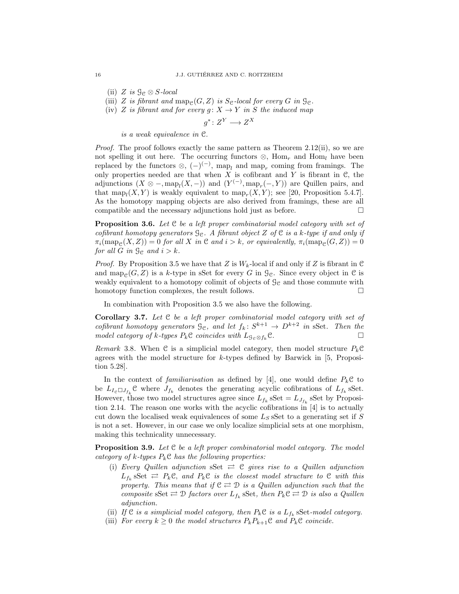- (ii)  $Z$  *is*  $\mathcal{G}_{\mathcal{C}} \otimes S$ *-local*
- (iii) Z is fibrant and  $\text{map}_{\mathcal{C}}(G, Z)$  is S<sub>C</sub>-local for every G in  $\mathcal{G}_{\mathcal{C}}$ .
- (iv) Z *is fibrant and for every*  $g: X \to Y$  *in* S *the induced map*

$$
g^*\colon Z^Y\longrightarrow Z^X
$$

*is a weak equivalence in* C*.*

*Proof.* The proof follows exactly the same pattern as Theorem 2.12(ii), so we are not spelling it out here. The occurring functors  $\otimes$ , Hom<sub>r</sub> and Hom<sub>l</sub> have been replaced by the functors  $\otimes$ ,  $(-)^{(-)}$ , map<sub>l</sub> and map<sub>r</sub> coming from framings. The only properties needed are that when  $X$  is cofibrant and  $Y$  is fibrant in  $\mathcal{C}$ , the adjunctions  $(X \otimes -, \text{map}_l(X, -))$  and  $(Y^{(-)}, \text{map}_r(-, Y))$  are Quillen pairs, and that  $\text{map}_l(X, Y)$  is weakly equivalent to  $\text{map}_r(X, Y)$ ; see [20, Proposition 5.4.7]. As the homotopy mapping objects are also derived from framings, these are all compatible and the necessary adjunctions hold just as before.  $\Box$ 

Proposition 3.6. *Let* C *be a left proper combinatorial model category with set of cofibrant homotopy generators*  $\mathcal{G}_e$ *. A fibrant object* Z *of* C *is a k-type if and only if*  $\pi_i(\text{map}_{\mathcal{C}}(X, Z)) = 0$  *for all* X *in* C *and*  $i > k$ , *or equivalently*,  $\pi_i(\text{map}_{\mathcal{C}}(G, Z)) = 0$ *for all*  $G$  *in*  $\mathcal{G}_e$  *and*  $i > k$ *.* 

*Proof.* By Proposition 3.5 we have that Z is  $W_k$ -local if and only if Z is fibrant in C and map<sub> $\varphi$ </sub> $(G, Z)$  is a k-type in sSet for every G in  $\mathcal{G}_{\mathcal{C}}$ . Since every object in C is weakly equivalent to a homotopy colimit of objects of  $\mathcal{G}_{\mathcal{C}}$  and those commute with homotopy function complexes, the result follows.

In combination with Proposition 3.5 we also have the following.

Corollary 3.7. *Let* C *be a left proper combinatorial model category with set of cofibrant homotopy generators*  $\mathcal{G}_{\mathcal{C}}$ *, and let*  $f_k: S^{k+1} \to D^{k+2}$  *in* sSet. Then the *model category of k-types*  $P_k$ **C** *coincides with*  $L_{\mathcal{G}_e \otimes f_k}$ **C***.* □

*Remark* 3.8. When C is a simplicial model category, then model structure  $P_k$ C agrees with the model structure for  $k$ -types defined by Barwick in [5, Proposition 5.28].

In the context of *familiarisation* as defined by [4], one would define  $P_k \mathcal{C}$  to be  $L_{I_c \Box J_{f_k}} \mathcal{C}$  where  $J_{f_k}$  denotes the generating acyclic cofibrations of  $L_{f_k}$  sSet. However, those two model structures agree since  $L_{f_k}$  sSet =  $L_{J_{f_k}}$  sSet by Proposition 2.14. The reason one works with the acyclic cofibrations in [4] is to actually cut down the localised weak equivalences of some  $L_S$  sSet to a generating set if S is not a set. However, in our case we only localize simplicial sets at one morphism, making this technicality unnecessary.

Proposition 3.9. *Let* C *be a left proper combinatorial model category. The model category of* k*-types* PkC *has the following properties:*

- (i) *Every Quillen adjunction* sSet  $\rightleftarrows$  C *gives rise to a Quillen adjunction*  $L_{f_k}$  Set  $\rightleftarrows$   $P_k \mathcal{C}$ , and  $P_k \mathcal{C}$  is the closest model structure to  $\mathcal{C}$  with this *property. This means that if*  $C \rightleftarrows D$  *is a Quillen adjunction such that the composite*  $sSet \rightleftarrows \mathcal{D}$  *factors over*  $L_{f_k}$  *sSet, then*  $P_k \mathcal{C} \rightleftarrows \mathcal{D}$  *is also a Quillen adjunction.*
- (ii) If  $C$  *is a simplicial model category, then*  $P_kC$  *is a*  $L_{f_k}$  sSet-model category.
- (iii) *For every*  $k \geq 0$  *the model structures*  $P_k P_{k+1}$ **C** *and*  $P_k$ **C** *coincide.*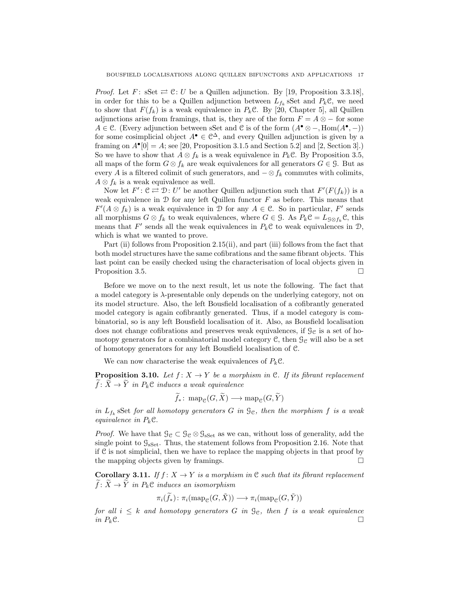*Proof.* Let  $F:$  sSet  $\rightleftarrows$   $\mathcal{C}:$  U be a Quillen adjunction. By [19, Proposition 3.3.18], in order for this to be a Quillen adjunction between  $L_{f_k}$  Set and  $P_k \mathcal{C}$ , we need to show that  $F(f_k)$  is a weak equivalence in  $P_k\mathcal{C}$ . By [20, Chapter 5], all Quillen adjunctions arise from framings, that is, they are of the form  $F = A \otimes -$  for some A ∈ C. (Every adjunction between sSet and C is of the form  $(A^{\bullet} \otimes -, \text{Hom}(A^{\bullet}, -))$ for some cosimplicial object  $A^{\bullet} \in \mathbb{C}^{\Delta}$ , and every Quillen adjunction is given by a framing on  $A^{\bullet}[0] = A$ ; see [20, Proposition 3.1.5 and Section 5.2] and [2, Section 3].) So we have to show that  $A \otimes f_k$  is a weak equivalence in  $P_k \mathcal{C}$ . By Proposition 3.5, all maps of the form  $G \otimes f_k$  are weak equivalences for all generators  $G \in \mathcal{G}$ . But as every A is a filtered colimit of such generators, and  $-\otimes f_k$  commutes with colimits,  $A \otimes f_k$  is a weak equivalence as well.

Now let  $F' : \mathfrak{C} \rightleftarrows \mathfrak{D} : U'$  be another Quillen adjunction such that  $F'(F(f_k))$  is a weak equivalence in  $\mathcal D$  for any left Quillen functor  $F$  as before. This means that  $F'(A \otimes f_k)$  is a weak equivalence in D for any  $A \in \mathcal{C}$ . So in particular, F' sends all morphisms  $G \otimes f_k$  to weak equivalences, where  $G \in \mathcal{G}$ . As  $P_k \mathcal{C} = L_{\mathcal{G} \otimes f_k} \mathcal{C}$ , this means that  $F'$  sends all the weak equivalences in  $P_k \mathcal{C}$  to weak equivalences in  $\mathcal{D}$ , which is what we wanted to prove.

Part (ii) follows from Proposition 2.15(ii), and part (iii) follows from the fact that both model structures have the same cofibrations and the same fibrant objects. This last point can be easily checked using the characterisation of local objects given in Proposition 3.5.

Before we move on to the next result, let us note the following. The fact that a model category is  $\lambda$ -presentable only depends on the underlying category, not on its model structure. Also, the left Bousfield localisation of a cofibrantly generated model category is again cofibrantly generated. Thus, if a model category is combinatorial, so is any left Bousfield localisation of it. Also, as Bousfield localisation does not change cofibrations and preserves weak equivalences, if  $\mathcal{G}_{\mathcal{C}}$  is a set of homotopy generators for a combinatorial model category  $\mathcal{C}$ , then  $\mathcal{G}_{\mathcal{C}}$  will also be a set of homotopy generators for any left Bousfield localisation of C.

We can now characterise the weak equivalences of  $P_k\mathcal{C}$ .

**Proposition 3.10.** *Let*  $f: X \to Y$  *be a morphism in* C*. If its fibrant replacement*  $\widetilde{f}: \widetilde{X} \to \widetilde{Y}$  *in*  $P_k \mathcal{C}$  *induces a weak equivalence* 

$$
f_*\colon \mathrm{map}_{\mathcal{C}}(G,\tilde{X}) \longrightarrow \mathrm{map}_{\mathcal{C}}(G,\tilde{Y})
$$

in  $L_{f_k}$  Set *for all homotopy generators*  $G$  *in*  $\mathcal{G}_e$ *, then the morphism*  $f$  *is a weak equivalence in*  $P_k$ **C**.

*Proof.* We have that  $\mathcal{G}_{\mathcal{C}} \subset \mathcal{G}_{\mathcal{C}} \otimes \mathcal{G}_{\mathrm{sSet}}$  as we can, without loss of generality, add the single point to  $\mathcal{G}_{\text{sset}}$ . Thus, the statement follows from Proposition 2.16. Note that if  $C$  is not simplicial, then we have to replace the mapping objects in that proof by the mapping objects given by framings.  $\square$ 

Corollary 3.11. *If*  $f: X \to Y$  *is a morphism in*  $C$  *such that its fibrant replacement*  $\widetilde{f}: \widetilde{X} \to \widetilde{Y}$  in  $P_k \mathcal{C}$  *induces an isomorphism* 

$$
\pi_i(\widetilde{f}_*)\colon \pi_i(\text{map}_{\mathcal{C}}(G,\tilde{X})) \longrightarrow \pi_i(\text{map}_{\mathcal{C}}(G,\tilde{Y}))
$$

*for all*  $i \leq k$  *and homotopy generators* G *in*  $\mathcal{G}_c$ *, then* f *is a weak equivalence in*  $P_k$ C.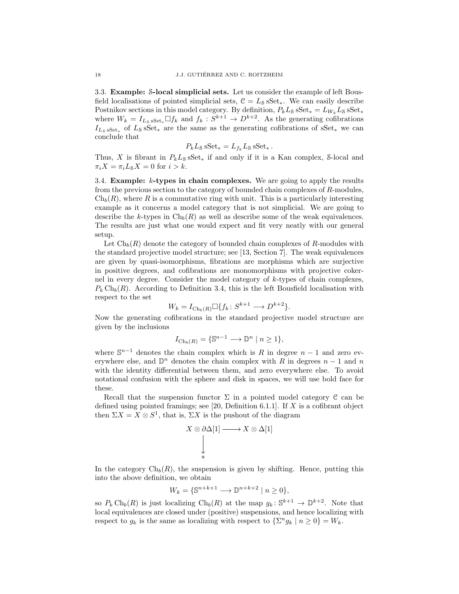3.3. Example: S-local simplicial sets. Let us consider the example of left Bousfield localisations of pointed simplicial sets,  $C = L_s sSet_*$ . We can easily describe Postnikov sections in this model category. By definition,  $P_k L_S$  sSet<sub>\*</sub> =  $L_{W_k} L_S$  sSet<sub>\*</sub> where  $W_k = I_{L_8 \text{ sSet}_*} \Box f_k$  and  $f_k : S^{k+1} \to D^{k+2}$ . As the generating cofibrations  $I_{L<sub>s</sub> sSet_*}$  of  $L<sub>s</sub> sSet_*$  are the same as the generating cofibrations of  $sSet_*$  we can conclude that

$$
P_k L_S \, \text{sSet}_* = L_{f_k} L_S \, \text{sSet}_* \, .
$$

Thus, X is fibrant in  $P_kL_S \text{ sSet}_*$  if and only if it is a Kan complex, S-local and  $\pi_i X = \pi_i L_s X = 0$  for  $i > k$ .

3.4. Example:  $k$ -types in chain complexes. We are going to apply the results from the previous section to the category of bounded chain complexes of R-modules,  $\mathrm{Ch}_{b}(R)$ , where R is a commutative ring with unit. This is a particularly interesting example as it concerns a model category that is not simplicial. We are going to describe the k-types in  $\mathrm{Ch}_b(R)$  as well as describe some of the weak equivalences. The results are just what one would expect and fit very neatly with our general setup.

Let  $\mathrm{Ch}_b(R)$  denote the category of bounded chain complexes of R-modules with the standard projective model structure; see [13, Section 7]. The weak equivalences are given by quasi-isomorphisms, fibrations are morphisms which are surjective in positive degrees, and cofibrations are monomorphisms with projective cokernel in every degree. Consider the model category of k-types of chain complexes,  $P_k Ch_b(R)$ . According to Definition 3.4, this is the left Bousfield localisation with respect to the set

$$
W_k = I_{\text{Ch}_b(R)} \square \{ f_k \colon S^{k+1} \longrightarrow D^{k+2} \}.
$$

Now the generating cofibrations in the standard projective model structure are given by the inclusions

$$
I_{\text{Ch}_b(R)} = \{ \mathbb{S}^{n-1} \longrightarrow \mathbb{D}^n \mid n \ge 1 \},\
$$

where  $\mathbb{S}^{n-1}$  denotes the chain complex which is R in degree  $n-1$  and zero everywhere else, and  $\mathbb{D}^n$  denotes the chain complex with R in degrees  $n-1$  and n with the identity differential between them, and zero everywhere else. To avoid notational confusion with the sphere and disk in spaces, we will use bold face for these.

Recall that the suspension functor  $\Sigma$  in a pointed model category C can be defined using pointed framings; see [20, Definition 6.1.1]. If X is a cofibrant object then  $\Sigma X = X \otimes S^1$ , that is,  $\Sigma X$  is the pushout of the diagram

$$
X \otimes \partial \Delta[1] \longrightarrow X \otimes \Delta[1]
$$
  
\n
$$
\downarrow
$$
  
\n
$$
\star
$$

In the category  $\mathrm{Ch}_b(R)$ , the suspension is given by shifting. Hence, putting this into the above definition, we obtain

$$
W_k = \{ \mathbb{S}^{n+k+1} \longrightarrow \mathbb{D}^{n+k+2} \mid n \ge 0 \},\
$$

so  $P_k Ch_b(R)$  is just localizing  $Ch_b(R)$  at the map  $g_k: \mathbb{S}^{k+1} \to \mathbb{D}^{k+2}$ . Note that local equivalences are closed under (positive) suspensions, and hence localizing with respect to  $g_k$  is the same as localizing with respect to  $\{\sum^n g_k \mid n \geq 0\} = W_k$ .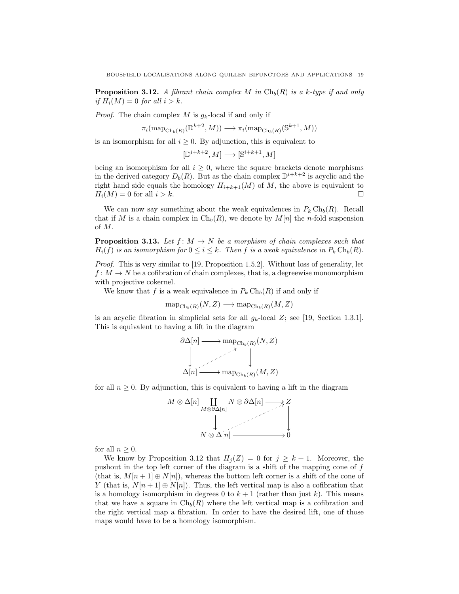**Proposition 3.12.** A fibrant chain complex M in  $\text{Ch}_b(R)$  is a k-type if and only *if*  $H_i(M) = 0$  *for all*  $i > k$ *.* 

*Proof.* The chain complex M is  $g_k$ -local if and only if

$$
\pi_i(\text{map}_{\text{Ch}_b(R)}(\mathbb{D}^{k+2}, M)) \longrightarrow \pi_i(\text{map}_{\text{Ch}_b(R)}(\mathbb{S}^{k+1}, M))
$$

is an isomorphism for all  $i \geq 0$ . By adjunction, this is equivalent to

$$
[\mathbb{D}^{i+k+2},M]\longrightarrow [\mathbb{S}^{i+k+1},M]
$$

being an isomorphism for all  $i \geq 0$ , where the square brackets denote morphisms in the derived category  $D_b(R)$ . But as the chain complex  $\mathbb{D}^{i+k+2}$  is acyclic and the right hand side equals the homology  $H_{i+k+1}(M)$  of M, the above is equivalent to  $H_i(M) = 0$  for all  $i > k$ .

We can now say something about the weak equivalences in  $P_k Ch_b(R)$ . Recall that if M is a chain complex in  $\mathrm{Ch}_b(R)$ , we denote by  $M[n]$  the n-fold suspension of M.

**Proposition 3.13.** Let  $f: M \to N$  be a morphism of chain complexes such that  $H_i(f)$  *is an isomorphism for*  $0 \leq i \leq k$ . Then f *is a weak equivalence in*  $P_k Ch_b(R)$ .

*Proof.* This is very similar to [19, Proposition 1.5.2]. Without loss of generality, let  $f: M \to N$  be a cofibration of chain complexes, that is, a degreewise monomorphism with projective cokernel.

We know that f is a weak equivalence in  $P_k Ch_b(R)$  if and only if

$$
\text{map}_{\text{Ch}_b(R)}(N, Z) \longrightarrow \text{map}_{\text{Ch}_b(R)}(M, Z)
$$

is an acyclic fibration in simplicial sets for all  $g_k$ -local Z; see [19, Section 1.3.1]. This is equivalent to having a lift in the diagram



for all  $n \geq 0$ . By adjunction, this is equivalent to having a lift in the diagram



for all  $n \geq 0$ .

We know by Proposition 3.12 that  $H_i(Z) = 0$  for  $j \geq k+1$ . Moreover, the pushout in the top left corner of the diagram is a shift of the mapping cone of f (that is,  $M[n+1] \oplus N[n]$ ), whereas the bottom left corner is a shift of the cone of Y (that is,  $N[n+1] \oplus N[n]$ ). Thus, the left vertical map is also a cofibration that is a homology isomorphism in degrees 0 to  $k + 1$  (rather than just k). This means that we have a square in  $\mathrm{Ch}_b(R)$  where the left vertical map is a cofibration and the right vertical map a fibration. In order to have the desired lift, one of those maps would have to be a homology isomorphism.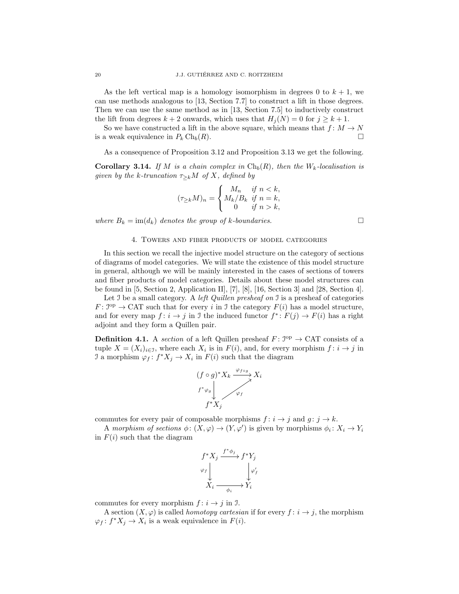As the left vertical map is a homology isomorphism in degrees 0 to  $k + 1$ , we can use methods analogous to [13, Section 7.7] to construct a lift in those degrees. Then we can use the same method as in [13, Section 7.5] to inductively construct the lift from degrees  $k + 2$  onwards, which uses that  $H_i(N) = 0$  for  $j \geq k + 1$ .

So we have constructed a lift in the above square, which means that  $f: M \to N$ is a weak equivalence in  $P_k \text{Ch}_b(R)$ .

As a consequence of Proposition 3.12 and Proposition 3.13 we get the following.

**Corollary 3.14.** *If* M *is a chain complex in*  $\text{Ch}_b(R)$ *, then the*  $W_k$ -localisation is *given by the k-truncation*  $\tau_{\geq k}M$  *of* X*, defined by* 

$$
(\tau_{\ge k}M)_n = \begin{cases} M_n & \text{if } n < k, \\ M_k/B_k & \text{if } n = k, \\ 0 & \text{if } n > k, \end{cases}
$$

*where*  $B_k = \text{im}(d_k)$  *denotes the group of k-boundaries.* 

#### 4. Towers and fiber products of model categories

In this section we recall the injective model structure on the category of sections of diagrams of model categories. We will state the existence of this model structure in general, although we will be mainly interested in the cases of sections of towers and fiber products of model categories. Details about these model structures can be found in [5, Section 2, Application II],  $[7]$ ,  $[8]$ ,  $[16$ , Section 3] and [28, Section 4].

Let I be a small category. A *left Quillen presheaf on* I is a presheaf of categories  $F: \mathcal{I}^{\text{op}} \to \text{CAT}$  such that for every i in J the category  $F(i)$  has a model structure, and for every map  $f: i \to j$  in J the induced functor  $f^*: F(j) \to F(i)$  has a right adjoint and they form a Quillen pair.

**Definition 4.1.** A *section* of a left Quillen presheaf  $F: \mathbb{S}^{\text{op}} \to \text{CAT}$  consists of a tuple  $X = (X_i)_{i \in \mathcal{I}}$ , where each  $X_i$  is in  $F(i)$ , and, for every morphism  $f: i \to j$  in I a morphism  $\varphi_f: f^*X_j \to X_i$  in  $F(i)$  such that the diagram

$$
(f \circ g)^* X_k \xrightarrow{\varphi_{f \circ g}} X_i
$$
  
 $f^* \varphi_g$   
 $f^* X_j$ 

commutes for every pair of composable morphisms  $f: i \rightarrow j$  and  $g: j \rightarrow k$ .

A morphism of sections  $\phi: (X, \varphi) \to (Y, \varphi')$  is given by morphisms  $\phi_i: X_i \to Y_i$ in  $F(i)$  such that the diagram

$$
f^*X_j \xrightarrow{f^*\phi_j} f^*Y_j
$$
  

$$
\varphi_f \downarrow \qquad \qquad \downarrow \varphi'_j
$$
  

$$
X_i \xrightarrow{\phi_i} Y_i
$$

commutes for every morphism  $f: i \rightarrow j$  in J.

A section  $(X, \varphi)$  is called *homotopy cartesian* if for every  $f : i \to j$ , the morphism  $\varphi_f: f^*X_j \to X_i$  is a weak equivalence in  $F(i)$ .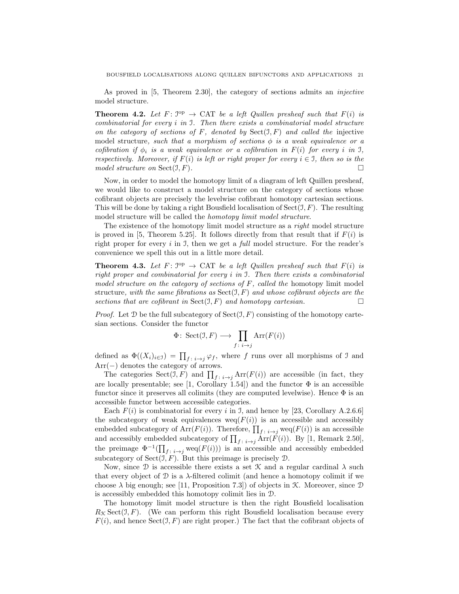As proved in [5, Theorem 2.30], the category of sections admits an *injective* model structure.

**Theorem 4.2.** Let  $F: \mathbb{S}^{\text{op}} \to \text{CAT}$  be a left Quillen presheaf such that  $F(i)$  is *combinatorial for every* i *in* I*. Then there exists a combinatorial model structure on the category of sections of* F*, denoted by* Sect(I, F) *and called the* injective model structure, such that a morphism of sections  $\phi$  is a weak equivalence or a *cofibration if*  $\phi_i$  *is a weak equivalence or a cofibration in*  $F(i)$  *for every i in* J, *respectively. Moreover, if*  $F(i)$  *is left or right proper for every*  $i \in I$ *, then so is the model structure on*  $Sect(\mathcal{I}, F)$ *.* 

Now, in order to model the homotopy limit of a diagram of left Quillen presheaf, we would like to construct a model structure on the category of sections whose cofibrant objects are precisely the levelwise cofibrant homotopy cartesian sections. This will be done by taking a right Bousfield localisation of  $Sect(\mathcal{I}, F)$ . The resulting model structure will be called the *homotopy limit model structure*.

The existence of the homotopy limit model structure as a *right* model structure is proved in [5, Theorem 5.25]. It follows directly from that result that if  $F(i)$  is right proper for every i in I, then we get a *full* model structure. For the reader's convenience we spell this out in a little more detail.

**Theorem 4.3.** Let  $F: \mathbb{S}^{\text{op}} \to \text{CAT}$  be a left Quillen presheaf such that  $F(i)$  is *right proper and combinatorial for every* i *in* I*. Then there exists a combinatorial model structure on the category of sections of* F*, called the* homotopy limit model structure*, with the same fibrations as* Sect(I, F) *and whose cofibrant objects are the sections that are cofibrant in*  $Sect(\mathcal{I}, F)$  *and homotopy cartesian.* 

*Proof.* Let  $D$  be the full subcategory of  $Sect(\mathcal{I}, F)$  consisting of the homotopy cartesian sections. Consider the functor

$$
\Phi\colon \operatorname{Sect}(\mathfrak{I},F)\longrightarrow \prod_{f\colon i\to j}\operatorname{Arr}(F(i))
$$

defined as  $\Phi((X_i)_{i\in\mathcal{I}}) = \prod_{f: i\to j} \varphi_f$ , where f runs over all morphisms of J and Arr(−) denotes the category of arrows.

The categories Sect $(\mathcal{I}, F)$  and  $\prod_{f: i \to j} \text{Arr}(F(i))$  are accessible (in fact, they are locally presentable; see [1, Corollary 1.54]) and the functor  $\Phi$  is an accessible functor since it preserves all colimits (they are computed levelwise). Hence  $\Phi$  is an accessible functor between accessible categories.

Each  $F(i)$  is combinatorial for every i in J, and hence by [23, Corollary A.2.6.6] the subcategory of weak equivalences  $w e q(F(i))$  is an accessible and accessibly embedded subcategory of Arr $(F(i))$ . Therefore,  $\prod_{f \colon i \to j}$  weq $(F(i))$  is an accessible and accessibly embedded subcategory of  $\prod_{f : i \to j} \text{Arr}(F(i))$ . By [1, Remark 2.50], the preimage  $\Phi^{-1}(\prod_{f \colon i \to j} \text{weg}(F(i)))$  is an accessible and accessibly embedded subcategory of  $Sect(\mathcal{I}, F)$ . But this preimage is precisely  $\mathcal{D}$ .

Now, since  $\mathcal D$  is accessible there exists a set  $\mathcal K$  and a regular cardinal  $\lambda$  such that every object of  $\mathcal D$  is a  $\lambda$ -filtered colimit (and hence a homotopy colimit if we choose  $\lambda$  big enough; see [11, Proposition 7.3]) of objects in K. Moreover, since  $\mathcal D$ is accessibly embedded this homotopy colimit lies in D.

The homotopy limit model structure is then the right Bousfield localisation  $R_K \, \text{Sect}(\mathcal{I}, F)$ . (We can perform this right Bousfield localisation because every  $F(i)$ , and hence  $Sect(\mathcal{I}, F)$  are right proper.) The fact that the cofibrant objects of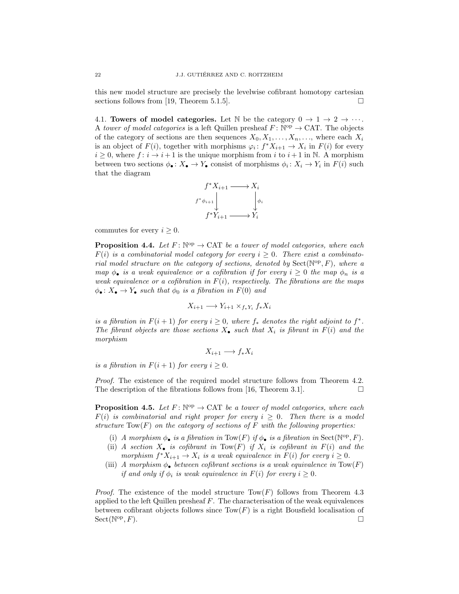this new model structure are precisely the levelwise cofibrant homotopy cartesian sections follows from [19, Theorem 5.1.5].  $\square$ 

4.1. Towers of model categories. Let N be the category  $0 \to 1 \to 2 \to \cdots$ . A *tower of model categories* is a left Quillen presheaf  $F: \mathbb{N}^{\text{op}} \to \text{CAT}$ . The objects of the category of sections are then sequences  $X_0, X_1, \ldots, X_n, \ldots$ , where each  $X_i$ is an object of  $F(i)$ , together with morphisms  $\varphi_i: f^*X_{i+1} \to X_i$  in  $F(i)$  for every  $i \geq 0$ , where  $f: i \to i+1$  is the unique morphism from i to  $i+1$  in N. A morphism between two sections  $\phi_{\bullet} : X_{\bullet} \to Y_{\bullet}$  consist of morphisms  $\phi_i : X_i \to Y_i$  in  $F(i)$  such that the diagram



commutes for every  $i \geq 0$ .

**Proposition 4.4.** Let  $F: \mathbb{N}^{\text{op}} \to \text{CAT}$  be a tower of model categories, where each  $F(i)$  is a combinatorial model category for every  $i \geq 0$ . There exist a combinato*rial model structure on the category of sections, denoted by*  $Sect(N^{op}, F)$ *, where a map*  $\phi_{\bullet}$  *is a weak equivalence or a cofibration if for every*  $i \geq 0$  *the map*  $\phi_n$  *is a weak equivalence or a cofibration in* F(i)*, respectively. The fibrations are the maps*  $\phi_{\bullet}: X_{\bullet} \to Y_{\bullet}$  *such that*  $\phi_0$  *is a fibration in*  $F(0)$  *and* 

$$
X_{i+1} \longrightarrow Y_{i+1} \times_{f_*Y_i} f_* X_i
$$

*is a fibration in*  $F(i + 1)$  *for every*  $i \geq 0$ *, where*  $f_*$  *denotes the right adjoint to*  $f^*$ *.* The fibrant objects are those sections  $X_{\bullet}$  such that  $X_i$  is fibrant in  $F(i)$  and the *morphism*

$$
X_{i+1} \longrightarrow f_* X_i
$$

*is a fibration in*  $F(i + 1)$  *for every*  $i \geq 0$ *.* 

*Proof.* The existence of the required model structure follows from Theorem 4.2. The description of the fibrations follows from [16, Theorem 3.1].

**Proposition 4.5.** Let  $F: \mathbb{N}^{\text{op}} \to \text{CAT}$  be a tower of model categories, where each  $F(i)$  *is combinatorial and right proper for every*  $i \geq 0$ *. Then there is a model structure* Tow(F) *on the category of sections of* F *with the following properties:*

- (i) *A morphism*  $\phi_{\bullet}$  *is a fibration in* Tow(*F*) *if*  $\phi_{\bullet}$  *is a fibration in* Sect( $\mathbb{N}^{\text{op}}, F$ ).
- (ii) *A section*  $X_{\bullet}$  *is cofibrant in* Tow(*F*) *if*  $X_i$  *is cofibrant in*  $F(i)$  *and the morphism*  $f^*X_{i+1} \to X_i$  *is a weak equivalence in*  $F(i)$  *for every*  $i \geq 0$ *.*
- (iii) *A morphism*  $\phi_{\bullet}$  *between cofibrant sections is a weak equivalence in* Tow(*F*) *if and only if*  $\phi_i$  *is weak equivalence in*  $F(i)$  *for every*  $i \geq 0$ *.*

*Proof.* The existence of the model structure  $Tow(F)$  follows from Theorem 4.3 applied to the left Quillen presheaf  $F$ . The characterisation of the weak equivalences between cofibrant objects follows since  $Tow(F)$  is a right Bousfield localisation of  $Sect(N^{op}, F).$  $\mathcal{P}(F)$ .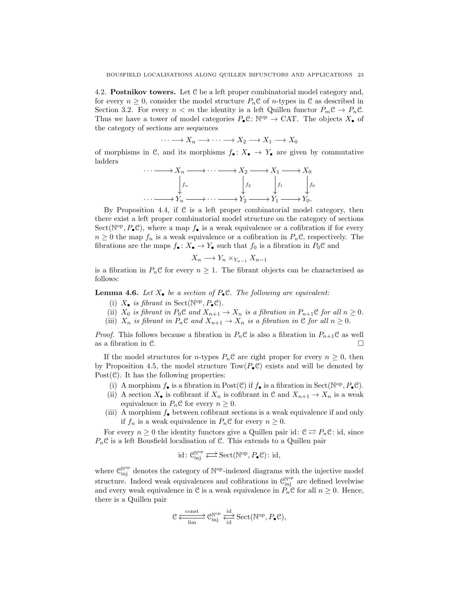4.2. Postnikov towers. Let C be a left proper combinatorial model category and, for every  $n \geq 0$ , consider the model structure  $P_n \mathcal{C}$  of *n*-types in  $\mathcal{C}$  as described in Section 3.2. For every  $n < m$  the identity is a left Quillen functor  $P_m \mathcal{C} \to P_n \mathcal{C}$ . Thus we have a tower of model categories  $P_{\bullet} \mathcal{C} \colon \mathbb{N}^{\text{op}} \to \text{CAT}$ . The objects  $X_{\bullet}$  of the category of sections are sequences

$$
\cdots \longrightarrow X_n \longrightarrow \cdots \longrightarrow X_2 \longrightarrow X_1 \longrightarrow X_0
$$

of morphisms in C, and its morphisms  $f_{\bullet}: X_{\bullet} \to Y_{\bullet}$  are given by commutative ladders

$$
\cdots \longrightarrow X_n \longrightarrow \cdots \longrightarrow X_2 \longrightarrow X_1 \longrightarrow X_0
$$
  
\n
$$
\downarrow f_n \qquad \qquad \downarrow f_2 \qquad \qquad f_1 \qquad \qquad f_0
$$
  
\n
$$
\cdots \longrightarrow Y_n \longrightarrow \cdots \longrightarrow Y_2 \longrightarrow Y_1 \longrightarrow Y_0.
$$

By Proposition 4.4, if C is a left proper combinatorial model category, then there exist a left proper combinatorial model structure on the category of sections Sect( $\mathbb{N}^{\text{op}}, P_{\bullet} \mathbb{C}$ ), where a map  $f_{\bullet}$  is a weak equivalence or a cofibration if for every  $n \geq 0$  the map  $f_n$  is a weak equivalence or a cofibration in  $P_n \mathcal{C}$ , respectively. The fibrations are the maps  $f_{\bullet}: X_{\bullet} \to Y_{\bullet}$  such that  $f_0$  is a fibration in  $P_0 \mathcal{C}$  and

$$
X_n \longrightarrow Y_n \times_{Y_{n-1}} X_{n-1}
$$

is a fibration in  $P_nC$  for every  $n \geq 1$ . The fibrant objects can be characterised as follows:

**Lemma 4.6.** Let  $X_{\bullet}$  be a section of  $P_{\bullet}$ C. The following are equivalent:

- (i)  $X_{\bullet}$  *is fibrant in* Sect( $\mathbb{N}^{\text{op}}, P_{\bullet} \mathbb{C}$ ).
- (ii)  $X_0$  *is fibrant in*  $P_0 \mathcal{C}$  *and*  $X_{n+1} \to X_n$  *is a fibration in*  $P_{n+1} \mathcal{C}$  *for all*  $n \geq 0$ *.*
- (iii)  $X_n$  *is fibrant in*  $P_n \mathcal{C}$  *and*  $X_{n+1} \to X_n$  *is a fibration in*  $\mathcal{C}$  *for all*  $n \geq 0$ *.*

*Proof.* This follows because a fibration in  $P_n \mathcal{C}$  is also a fibration in  $P_{n+1} \mathcal{C}$  as well as a fibration in C.

If the model structures for *n*-types  $P_n$ C are right proper for every  $n \geq 0$ , then by Proposition 4.5, the model structure  $Tow(P_eC)$  exists and will be denoted by Post $(\mathcal{C})$ . It has the following properties:

- (i) A morphism  $f_{\bullet}$  is a fibration in Post(C) if  $f_{\bullet}$  is a fibration in Sect( $\mathbb{N}^{\text{op}}, P_{\bullet} \mathbb{C}$ ).
- (ii) A section  $X_{\bullet}$  is cofibrant if  $X_n$  is cofibrant in C and  $X_{n+1} \to X_n$  is a weak equivalence in  $P_nC$  for every  $n \geq 0$ .
- (iii) A morphism  $f_{\bullet}$  between cofibrant sections is a weak equivalence if and only if  $f_n$  is a weak equivalence in  $P_nC$  for every  $n \geq 0$ .

For every  $n \geq 0$  the identity functors give a Quillen pair id:  $\mathcal{C} \rightleftarrows P_n\mathcal{C}$ : id, since  $P_n$ C is a left Bousfield localisation of C. This extends to a Quillen pair

$$
\mathrm{id}\colon \mathcal{C}_{\mathrm{inj}}^{\mathbb{N}^{\mathrm{op}}}\Longleftrightarrow \mathrm{Sect}(\mathbb{N}^{\mathrm{op}},P_{\bullet}\mathcal{C})\colon \mathrm{id},
$$

where  $\mathcal{C}^{\mathbb{N}^{\mathrm{op}}}_{\mathrm{inj}}$  denotes the category of  $\mathbb{N}^{\mathrm{op}}$ -indexed diagrams with the injective model structure. Indeed weak equivalences and cofibrations in  $\mathcal{C}_{\text{inj}}^{\mathbb{N}^{\text{op}}}$  are defined levelwise and every weak equivalence in C is a weak equivalence in  $P_n\mathcal{C}$  for all  $n \geq 0$ . Hence, there is a Quillen pair

$$
\mathcal{C} \xleftarrow[\text{lim}]{\text{const}} \mathcal{C}^{\mathbb{N}^\text{op}}_{\text{inj}} \xleftarrow[\text{id}]{\text{id}} \text{Sect}(\mathbb{N}^\text{op}, P_\bullet \mathcal{C}),
$$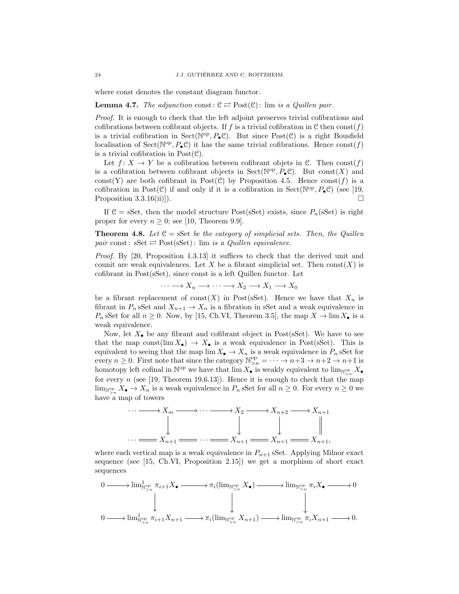where const denotes the constant diagram functor.

#### **Lemma 4.7.** *The adjunction* const:  $C \rightleftarrows Post(C)$ : lim *is a Quillen pair.*

*Proof.* It is enough to check that the left adjoint preserves trivial cofibrations and cofibrations between cofibrant objects. If f is a trivial cofibration in C then const $(f)$ is a trivial cofibration in Sect( $\mathbb{N}^{\text{op}}, P_{\bullet} \mathbb{C}$ ). But since  $\text{Post}(\mathbb{C})$  is a right Bousfield localisation of  $Sect(N^{\text{op}}, P_{\bullet} \mathcal{C})$  it has the same trivial cofibrations. Hence  $const(f)$ is a trivial cofibration in  $Post(\mathcal{C})$ .

Let  $f: X \to Y$  be a cofibration between cofibrant objets in C. Then const $(f)$ is a cofibration between cofibrant objects in Sect( $\mathbb{N}^{\text{op}}, P_{\bullet} \mathcal{C}$ ). But const(X) and const(Y) are both cofibrant in Post(C) by Proposition 4.5. Hence const $(f)$  is a cofibration in Post(C) if and only if it is a cofibration in Sect( $\mathbb{N}^{\text{op}}, P_{\bullet} \mathbb{C}$ ) (see [19, Proposition 3.3.16(ii)]).

If  $\mathcal{C} = sSet$ , then the model structure Post(sSet) exists, since  $P_n(sSet)$  is right proper for every  $n \geq 0$ ; see [10, Theorem 9.9].

**Theorem 4.8.** Let  $C = \text{SSet}$  be the category of simplicial sets. Then, the Quillen *pair* const:  $sSet \rightleftarrows Post(sSet)$ : lim *is a Quillen equivalence.* 

*Proof.* By [20, Proposition 1.3.13] it suffices to check that the derived unit and counit are weak equivalences. Let X be a fibrant simplicial set. Then  $\text{const}(X)$  is cofibrant in Post(sSet), since const is a left Quillen functor. Let

$$
\cdots \longrightarrow X_n \longrightarrow \cdots \longrightarrow X_2 \longrightarrow X_1 \longrightarrow X_0
$$

be a fibrant replacement of const(X) in Post(sSet). Hence we have that  $X_n$  is fibrant in  $P_n$  sSet and  $X_{n+1} \to X_n$  is a fibration in sSet and a weak equivalence in  $P_n$  sSet for all  $n \geq 0$ . Now, by [15, Ch.VI, Theorem 3.5], the map  $X \to \lim X_{\bullet}$  is a weak equivalence.

Now, let  $X_{\bullet}$  be any fibrant and cofibrant object in Post(sSet). We have to see that the map const(lim  $X_{\bullet}$ )  $\rightarrow X_{\bullet}$  is a weak equivalence in Post(sSet). This is equivalent to seeing that the map  $\lim X_{\bullet} \to X_n$  is a weak equivalence in  $P_n$  sSet for every  $n \geq 0$ . First note that since the category  $\mathbb{N}_{>n}^{\text{op}} = \cdots \to n+3 \to n+2 \to n+1$  is homotopy left cofinal in  $\mathbb{N}^{op}$  we have that  $\lim X_{\bullet}$  is weakly equivalent to  $\lim_{\mathbb{N}^{op}_{>n}} X_{\bullet}$ for every n (see [19, Theorem 19.6.13]). Hence it is enough to check that the map  $\lim_{N\geq n} X_{\bullet} \to X_n$  is a weak equivalence in  $P_n$  sSet for all  $n \geq 0$ . For every  $n \geq 0$  we have a map of towers



where each vertical map is a weak equivalence in  $P_{n+1}$  sSet. Applying Milnor exact sequence (see [15, Ch.VI, Proposition 2.15]) we get a morphism of short exact sequences

$$
\begin{array}{ccc}\n0 & \longrightarrow \lim_{\mathbb{N} \to \mathbb{N}} \pi_{i+1} X_{\bullet} \longrightarrow \pi_{i}(\lim_{\mathbb{N} \to \mathbb{N}} X_{\bullet}) \longrightarrow \lim_{\mathbb{N} \to \mathbb{N}} \pi_{i} X_{\bullet} \longrightarrow 0 \\
 & \downarrow & \downarrow & \downarrow & \downarrow & \downarrow & \downarrow & \\
0 & \longrightarrow \lim_{\mathbb{N} \to \mathbb{N}} \pi_{i+1} X_{n+1} \longrightarrow \pi_{i}(\lim_{\mathbb{N} \to \mathbb{N}} X_{n+1}) \longrightarrow \lim_{\mathbb{N} \to \mathbb{N}} \pi_{i} X_{n+1} \longrightarrow 0.\n\end{array}
$$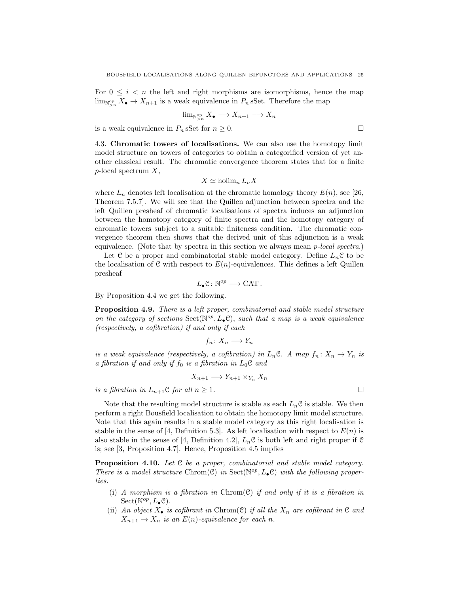For  $0 \leq i \leq n$  the left and right morphisms are isomorphisms, hence the map  $\lim_{N\geq n} X_{\bullet} \to X_{n+1}$  is a weak equivalence in  $P_n$  sSet. Therefore the map

$$
\lim_{\mathbb{N}_{>n}^{\text{op}}} X_{\bullet} \longrightarrow X_{n+1} \longrightarrow X_{n}
$$

is a weak equivalence in  $P_n$  sSet for  $n \geq 0$ .

4.3. Chromatic towers of localisations. We can also use the homotopy limit model structure on towers of categories to obtain a categorified version of yet another classical result. The chromatic convergence theorem states that for a finite  $p$ -local spectrum  $X$ ,

$$
X \simeq \text{holim}_n L_n X
$$

where  $L_n$  denotes left localisation at the chromatic homology theory  $E(n)$ , see [26, Theorem 7.5.7]. We will see that the Quillen adjunction between spectra and the left Quillen presheaf of chromatic localisations of spectra induces an adjunction between the homotopy category of finite spectra and the homotopy category of chromatic towers subject to a suitable finiteness condition. The chromatic convergence theorem then shows that the derived unit of this adjunction is a weak equivalence. (Note that by spectra in this section we always mean p*-local spectra*.)

Let  $\mathcal C$  be a proper and combinatorial stable model category. Define  $L_n\mathcal C$  to be the localisation of  $C$  with respect to  $E(n)$ -equivalences. This defines a left Quillen presheaf

$$
L_\bullet \mathcal{C}\colon \mathbb{N}^{op}\longrightarrow \mathsf{CAT}\,.
$$

By Proposition 4.4 we get the following.

Proposition 4.9. *There is a left proper, combinatorial and stable model structure on the category of sections*  $Sect(N^{op}, L_{\bullet} \mathcal{C}),$  *such that a map is a weak equivalence (respectively, a cofibration) if and only if each*

$$
f_n\colon X_n\longrightarrow Y_n
$$

*is a weak equivalence (respectively, a cofibration) in*  $L_n \mathcal{C}$ . A map  $f_n : X_n \to Y_n$  *is a fibration if and only if*  $f_0$  *is a fibration in*  $L_0C$  *and* 

$$
X_{n+1} \longrightarrow Y_{n+1} \times_{Y_n} X_n
$$

*is a fibration in*  $L_{n+1}$ **C** *for all*  $n \geq 1$ *.* 

Note that the resulting model structure is stable as each  $L_n\mathcal{C}$  is stable. We then perform a right Bousfield localisation to obtain the homotopy limit model structure. Note that this again results in a stable model category as this right localisation is stable in the sense of [4, Definition 5.3]. As left localisation with respect to  $E(n)$  is also stable in the sense of [4, Definition 4.2],  $L_n \mathcal{C}$  is both left and right proper if  $\mathcal{C}$ is; see [3, Proposition 4.7]. Hence, Proposition 4.5 implies

Proposition 4.10. *Let* C *be a proper, combinatorial and stable model category. There is a model structure*  $Chrom(C)$  *in*  $Sect(N^{op}, L_{\bullet}C)$  *with the following properties.*

- (i) *A morphism is a fibration in* Chrom(C) *if and only if it is a fibration in*  $Sect(\mathbb{N}^{op}, L_{\bullet}\mathbb{C}).$
- (ii) *An object*  $X_{\bullet}$  *is cofibrant in* Chrom(C) *if all the*  $X_n$  *are cofibrant in* C *and*  $X_{n+1} \to X_n$  *is an*  $E(n)$ -equivalence for each n.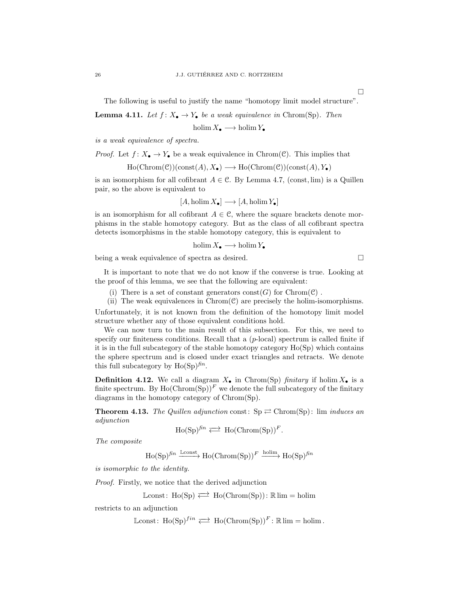The following is useful to justify the name "homotopy limit model structure".

**Lemma 4.11.** *Let*  $f: X_{\bullet} \to Y_{\bullet}$  *be a weak equivalence in* Chrom(Sp). *Then* 

holim  $X_{\bullet} \longrightarrow \text{holim } Y_{\bullet}$ 

*is a weak equivalence of spectra.*

*Proof.* Let 
$$
f: X_{\bullet} \to Y_{\bullet}
$$
 be a weak equivalence in  $Chrom(\mathcal{C})$ . This implies that

$$
\text{Ho}(\text{Chrom}(\mathcal{C}))(\text{const}(A), X_{\bullet}) \longrightarrow \text{Ho}(\text{Chrom}(\mathcal{C}))(\text{const}(A), Y_{\bullet})
$$

is an isomorphism for all cofibrant  $A \in \mathcal{C}$ . By Lemma 4.7, (const, lim) is a Quillen pair, so the above is equivalent to

$$
[A, \text{holim}\, X_{\bullet}] \longrightarrow [A, \text{holim}\, Y_{\bullet}]
$$

is an isomorphism for all cofibrant  $A \in \mathcal{C}$ , where the square brackets denote morphisms in the stable homotopy category. But as the class of all cofibrant spectra detects isomorphisms in the stable homotopy category, this is equivalent to

$$
\text{holim}\,X_{\bullet}\longrightarrow\text{holim}\,Y_{\bullet}
$$

being a weak equivalence of spectra as desired.

It is important to note that we do not know if the converse is true. Looking at the proof of this lemma, we see that the following are equivalent:

(i) There is a set of constant generators  $\text{const}(G)$  for  $\text{Chrom}(\mathcal{C})$ .

(ii) The weak equivalences in  $Chrom(\mathcal{C})$  are precisely the holim-isomorphisms. Unfortunately, it is not known from the definition of the homotopy limit model structure whether any of those equivalent conditions hold.

We can now turn to the main result of this subsection. For this, we need to specify our finiteness conditions. Recall that a  $(p\text{-local})$  spectrum is called finite if it is in the full subcategory of the stable homotopy category Ho(Sp) which contains the sphere spectrum and is closed under exact triangles and retracts. We denote this full subcategory by  $Ho(\text{Sp})^{\text{fin}}$ .

**Definition 4.12.** We call a diagram  $X_{\bullet}$  in Chrom(Sp) *finitary* if holim  $X_{\bullet}$  is a finite spectrum. By  $Ho(Chrom(Sp))^F$  we denote the full subcategory of the finitary diagrams in the homotopy category of Chrom(Sp).

**Theorem 4.13.** The Quillen adjunction const:  $Sp \rightleftarrows Chrom(Sp)$ : lim *induces an adjunction*

$$
\mathrm{Ho}(\mathrm{Sp})^\mathrm{fin} \rightleftarrows \mathrm{Ho}(\mathrm{Chrom}(\mathrm{Sp}))^F.
$$

*The composite*

 $\text{Ho}(\text{Sp})^{fin} \xrightarrow{\text{Lconst}} \text{Ho}(\text{Chrom}(\text{Sp}))^F \xrightarrow{\text{holim}} \text{Ho}(\text{Sp})^{fin}$ 

*is isomorphic to the identity.*

*Proof.* Firstly, we notice that the derived adjunction

$$
\mathbb{L} \text{const} \colon \operatorname{Ho}(\operatorname{Sp}) \rightleftarrows \operatorname{Ho}(\operatorname{Chrom}(\operatorname{Sp})) \colon \mathbb{R} \lim = \operatorname{holim}
$$

restricts to an adjunction

Lconst:  $\text{Ho}(\text{Sp})^{fin} \rightleftarrows \text{Ho}(\text{Chrom}(\text{Sp}))^F : \mathbb{R} \lim = \text{holim}$ .

 $\Box$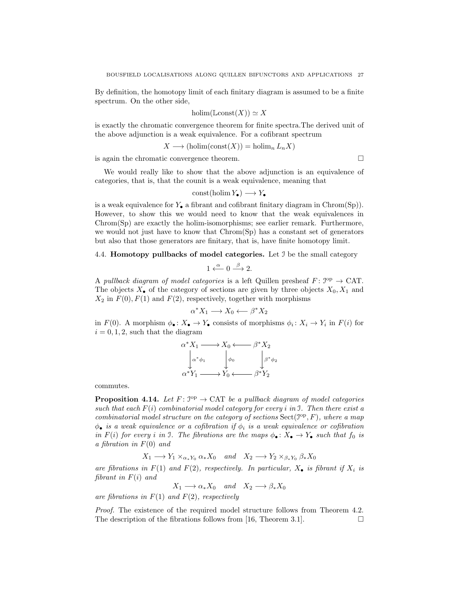By definition, the homotopy limit of each finitary diagram is assumed to be a finite spectrum. On the other side,

$$
\text{holim}(\mathbb{L}\text{const}(X)) \simeq X
$$

is exactly the chromatic convergence theorem for finite spectra.The derived unit of the above adjunction is a weak equivalence. For a cofibrant spectrum

$$
X \longrightarrow (\text{holim}(\text{const}(X)) = \text{holim}_{n} L_{n} X)
$$

is again the chromatic convergence theorem.

We would really like to show that the above adjunction is an equivalence of categories, that is, that the counit is a weak equivalence, meaning that

 $\text{const}(\text{holim } Y_{\bullet}) \longrightarrow Y_{\bullet}$ 

is a weak equivalence for  $Y_{\bullet}$  a fibrant and cofibrant finitary diagram in Chrom(Sp)). However, to show this we would need to know that the weak equivalences in Chrom(Sp) are exactly the holim-isomorphisms; see earlier remark. Furthermore, we would not just have to know that Chrom(Sp) has a constant set of generators but also that those generators are finitary, that is, have finite homotopy limit.

#### 4.4. Homotopy pullbacks of model categories. Let I be the small category

$$
1 \xleftarrow{\alpha} 0 \xrightarrow{\beta} 2.
$$

A *pullback diagram of model categories* is a left Quillen presheaf  $F: \mathcal{I}^{\text{op}} \to \text{CAT}$ . The objects  $X_{\bullet}$  of the category of sections are given by three objects  $X_0, X_1$  and  $X_2$  in  $F(0), F(1)$  and  $F(2)$ , respectively, together with morphisms

$$
\alpha^* X_1 \longrightarrow X_0 \longleftarrow \beta^* X_2
$$

in  $F(0)$ . A morphism  $\phi_{\bullet}: X_{\bullet} \to Y_{\bullet}$  consists of morphisms  $\phi_i: X_i \to Y_i$  in  $F(i)$  for  $i = 0, 1, 2$ , such that the diagram

$$
\alpha^* X_1 \longrightarrow X_0 \longleftarrow \beta^* X_2
$$
  
\n
$$
\alpha^* \phi_1 \qquad \phi_0 \qquad \beta^* \phi_2
$$
  
\n
$$
\alpha^* Y_1 \longrightarrow Y_0 \longleftarrow \beta^* Y_2
$$

commutes.

**Proposition 4.14.** Let  $F: \mathbb{S}^{\text{op}} \to \text{CAT}$  be a pullback diagram of model categories *such that each* F(i) *combinatorial model category for every* i *in* I*. Then there exist a combinatorial model structure on the category of sections*  $Sect(\mathcal{I}^{op}, F)$ *, where a map*  $\phi_{\bullet}$  *is a weak equivalence or a cofibration if*  $\phi_i$  *is a weak equivalence or cofibration in*  $F(i)$  *for every i in* 3. The *fibrations* are the maps  $\phi_{\bullet} : X_{\bullet} \to Y_{\bullet}$  *such that*  $f_0$  *is a fibration in* F(0) *and*

$$
X_1 \longrightarrow Y_1 \times_{\alpha_* Y_0} \alpha_* X_0 \quad and \quad X_2 \longrightarrow Y_2 \times_{\beta_* Y_0} \beta_* X_0
$$

*are fibrations in*  $F(1)$  *and*  $F(2)$ *, respectively. In particular,*  $X_{\bullet}$  *is fibrant if*  $X_i$  *is fibrant in* F(i) *and*

 $X_1 \longrightarrow \alpha_* X_0$  *and*  $X_2 \longrightarrow \beta_* X_0$ 

*are fibrations in* F(1) *and* F(2)*, respectively*

*Proof.* The existence of the required model structure follows from Theorem 4.2. The description of the fibrations follows from [16, Theorem 3.1].  $\Box$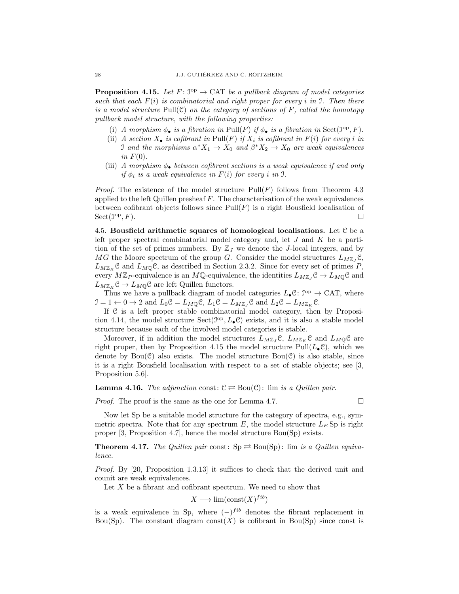**Proposition 4.15.** Let  $F: \mathbb{S}^{\text{op}} \to \text{CAT}$  be a pullback diagram of model categories *such that each* F(i) *is combinatorial and right proper for every* i *in* I*. Then there is a model structure* Pull(C) *on the category of sections of* F*, called the homotopy pullback model structure, with the following properties:*

- (i) *A morphism*  $\phi_{\bullet}$  *is a fibration in* Pull(*F*) *if*  $\phi_{\bullet}$  *is a fibration in* Sect( $\mathcal{I}^{\text{op}}, F$ ).
- (ii) *A section*  $X_{\bullet}$  *is cofibrant in*  $Pull(F)$  *if*  $X_i$  *is cofibrant in*  $F(i)$  *for every i in* I and the morphisms  $\alpha^* X_1 \to X_0$  and  $\beta^* X_2 \to X_0$  are weak equivalences  $in F(0)$ .
- (iii) *A morphism*  $\phi_{\bullet}$  *between cofibrant sections is a weak equivalence if and only if*  $\phi_i$  *is a weak equivalence in*  $F(i)$  *for every i in* J.

*Proof.* The existence of the model structure  $Pull(F)$  follows from Theorem 4.3 applied to the left Quillen presheaf  $F$ . The characterisation of the weak equivalences between cofibrant objects follows since  $Pull(F)$  is a right Bousfield localisation of  $Sect(\mathcal{I}^{op},F).$  $\mathcal{O}(P,F)$ .

4.5. Bousfield arithmetic squares of homological localisations. Let  $C$  be a left proper spectral combinatorial model category and, let J and K be a partition of the set of primes numbers. By  $\mathbb{Z}_J$  we denote the J-local integers, and by MG the Moore spectrum of the group G. Consider the model structures  $L_{M\mathbb{Z}_I}$ .  $L_{M\mathbb{Z}_{K}}\mathcal{C}$  and  $L_{M\mathbb{Q}}\mathcal{C}$ , as described in Section 2.3.2. Since for every set of primes P, every  $M\mathbb{Z}_P$ -equivalence is an  $M\mathbb{Q}$ -equivalence, the identities  $L_{M\mathbb{Z}_I} \mathcal{C} \to L_{M\mathbb{Q}} \mathcal{C}$  and  $L_{M\mathbb{Z}_K}$   $\mathcal{C} \to L_{M\mathbb{Q}}$  are left Quillen functors.

Thus we have a pullback diagram of model categories  $L_{\bullet} \mathcal{C} : \mathcal{I}^{\mathrm{op}} \to \mathrm{CAT}$ , where  $\mathcal{I} = 1 \leftarrow 0 \rightarrow 2$  and  $L_0 \mathcal{C} = L_{M \mathbb{Q}} \mathcal{C}, L_1 \mathcal{C} = L_{M \mathbb{Z}_J} \mathcal{C}$  and  $L_2 \mathcal{C} = L_{M \mathbb{Z}_K} \mathcal{C}$ .

If C is a left proper stable combinatorial model category, then by Proposition 4.14, the model structure  $Sect(\mathcal{I}^{op}, L_{\bullet} \mathcal{C})$  exists, and it is also a stable model structure because each of the involved model categories is stable.

Moreover, if in addition the model structures  $L_{M\mathbb{Z}_I}$ C,  $L_{M\mathbb{Z}_K}$ C and  $L_{M\mathbb{Q}}$ C are right proper, then by Proposition 4.15 the model structure  $Pull(L_{\bullet} \mathcal{C})$ , which we denote by  $Bou(\mathcal{C})$  also exists. The model structure  $Bou(\mathcal{C})$  is also stable, since it is a right Bousfield localisation with respect to a set of stable objects; see [3, Proposition 5.6].

**Lemma 4.16.** *The adjunction* const:  $C \rightleftarrows Bou(C)$ : lim *is a Quillen pair.* 

*Proof.* The proof is the same as the one for Lemma 4.7.  $\Box$ 

Now let Sp be a suitable model structure for the category of spectra, e.g., symmetric spectra. Note that for any spectrum E, the model structure  $L_E$  Sp is right proper [3, Proposition 4.7], hence the model structure Bou(Sp) exists.

**Theorem 4.17.** The Quillen pair const:  $Sp \rightleftharpoons Bou(Sp)$ : lim *is a Quillen equivalence.*

*Proof.* By [20, Proposition 1.3.13] it suffices to check that the derived unit and counit are weak equivalences.

Let  $X$  be a fibrant and cofibrant spectrum. We need to show that

$$
X \longrightarrow \lim(\text{const}(X)^{fib})
$$

is a weak equivalence in Sp, where  $(-)$ <sup>fib</sup> denotes the fibrant replacement in Bou(Sp). The constant diagram const(X) is cofibrant in Bou(Sp) since const is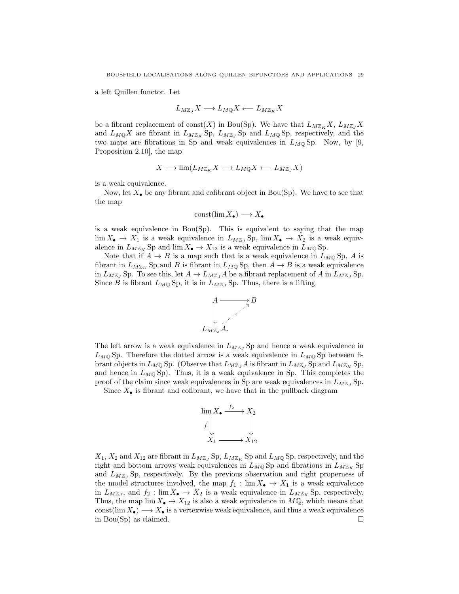a left Quillen functor. Let

$$
L_{M\mathbb{Z}_J}X\longrightarrow L_{M\mathbb{Q}}X\longleftarrow L_{M\mathbb{Z}_K}X
$$

be a fibrant replacement of const(X) in Bou(Sp). We have that  $L_{MZ_K}X$ ,  $L_{MZ_J}X$ and  $L_{M\mathbb{Q}}X$  are fibrant in  $L_{M\mathbb{Z}_K}$  Sp,  $L_{M\mathbb{Z}_J}$  Sp and  $L_{M\mathbb{Q}}$  Sp, respectively, and the two maps are fibrations in Sp and weak equivalences in  $L_{M,Q}$  Sp. Now, by [9, Proposition 2.10], the map

$$
X \longrightarrow \lim(L_{M\mathbb{Z}_K} X \longrightarrow L_{M\mathbb{Q}} X \longleftarrow L_{M\mathbb{Z}_J} X)
$$

is a weak equivalence.

Now, let  $X_{\bullet}$  be any fibrant and cofibrant object in Bou(Sp). We have to see that the map

$$
const(\lim X_{\bullet}) \longrightarrow X_{\bullet}
$$

is a weak equivalence in Bou(Sp). This is equivalent to saying that the map  $\lim X_{\bullet} \to X_1$  is a weak equivalence in  $L_{M\mathbb{Z}_J}$  Sp,  $\lim X_{\bullet} \to X_2$  is a weak equivalence in  $L_{M\mathbb{Z}_K}$  Sp and  $\lim X_{\bullet} \to X_{12}$  is a weak equivalence in  $L_{M\mathbb{Q}}$  Sp.

Note that if  $A \to B$  is a map such that is a weak equivalence in  $L_{MQ}$  Sp, A is fibrant in  $L_{M\mathbb{Z}_K}$  Sp and B is fibrant in  $L_{M\mathbb{Q}}$  Sp, then  $A \to B$  is a weak equivalence in  $L_{M\mathbb{Z}_J}$  Sp. To see this, let  $A \to L_{M\mathbb{Z}_J}A$  be a fibrant replacement of A in  $L_{M\mathbb{Z}_J}$  Sp. Since B is fibrant  $L_{MQ}$  Sp, it is in  $L_{M\mathbb{Z}_J}$  Sp. Thus, there is a lifting



The left arrow is a weak equivalence in  $L_{M\mathbb{Z}_J}$  Sp and hence a weak equivalence in  $L_{MQ}$  Sp. Therefore the dotted arrow is a weak equivalence in  $L_{MQ}$  Sp between fibrant objects in  $L_{MQ}$  Sp. (Observe that  $L_{MZJ}$  A is fibrant in  $L_{MZJ}$  Sp and  $L_{MZK}$  Sp, and hence in  $L_{MQ}$  Sp). Thus, it is a weak equivalence in Sp. This completes the proof of the claim since weak equivalences in Sp are weak equivalences in  $L_{M\mathbb{Z}}$ , Sp.

Since  $X_{\bullet}$  is fibrant and cofibrant, we have that in the pullback diagram



 $X_1, X_2$  and  $X_{12}$  are fibrant in  $L_{M\mathbb{Z}_J}$  Sp,  $L_{M\mathbb{Z}_K}$  Sp and  $L_{M\mathbb{Q}}$  Sp, respectively, and the right and bottom arrows weak equivalences in  $L_{MQ}$  Sp and fibrations in  $L_{MZ_K}$  Sp and  $L_{M\mathbb{Z}_I}$  Sp, respectively. By the previous observation and right properness of the model structures involved, the map  $f_1 : \lim X_{\bullet} \to X_1$  is a weak equivalence in  $L_{M\mathbb{Z}_J}$ , and  $f_2: \lim X_{\bullet} \to X_2$  is a weak equivalence in  $L_{M\mathbb{Z}_K}$  Sp, respectively. Thus, the map  $\lim X_{\bullet} \to X_{12}$  is also a weak equivalence in  $M\mathbb{Q}$ , which means that const(lim  $X_{\bullet}$ )  $\longrightarrow X_{\bullet}$  is a vertexwise weak equivalence, and thus a weak equivalence in Bou(Sp) as claimed.  $\square$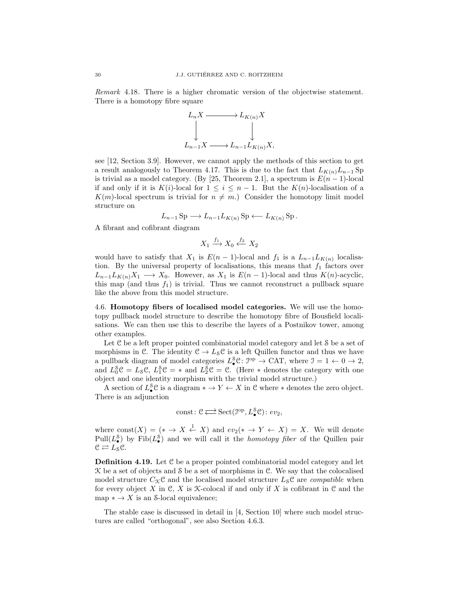*Remark* 4.18*.* There is a higher chromatic version of the objectwise statement. There is a homotopy fibre square



see [12, Section 3.9]. However, we cannot apply the methods of this section to get a result analogously to Theorem 4.17. This is due to the fact that  $L_{K(n)}L_{n-1}$  Sp is trivial as a model category. (By [25, Theorem 2.1], a spectrum is  $E(n-1)$ -local if and only if it is K(i)-local for  $1 \leq i \leq n-1$ . But the K(n)-localisation of a  $K(m)$ -local spectrum is trivial for  $n \neq m$ .) Consider the homotopy limit model structure on

$$
L_{n-1} \, \text{Sp} \longrightarrow L_{n-1} L_{K(n)} \, \text{Sp} \longleftarrow L_{K(n)} \, \text{Sp} \, .
$$

A fibrant and cofibrant diagram

$$
X_1 \xrightarrow{f_1} X_0 \xleftarrow{f_2} X_2
$$

would have to satisfy that  $X_1$  is  $E(n-1)$ -local and  $f_1$  is a  $L_{n-1}L_{K(n)}$  localisation. By the universal property of localisations, this means that  $f_1$  factors over  $L_{n-1}L_{K(n)}X_1 \longrightarrow X_0$ . However, as  $X_1$  is  $E(n-1)$ -local and thus  $K(n)$ -acyclic, this map (and thus  $f_1$ ) is trivial. Thus we cannot reconstruct a pullback square like the above from this model structure.

4.6. Homotopy fibers of localised model categories. We will use the homotopy pullback model structure to describe the homotopy fibre of Bousfield localisations. We can then use this to describe the layers of a Postnikov tower, among other examples.

Let C be a left proper pointed combinatorial model category and let S be a set of morphisms in C. The identity  $C \to L_S C$  is a left Quillen functor and thus we have a pullback diagram of model categories  $L^s_{\bullet} \mathbb{C} : \mathcal{I}^{\mathrm{op}} \to \mathrm{CAT}$ , where  $\mathcal{I} = 1 \leftarrow 0 \rightarrow 2$ , and  $L_0^{\mathcal{S}} \mathcal{C} = L_{\mathcal{S}} \mathcal{C}$ ,  $L_1^{\mathcal{S}} \mathcal{C} = *$  and  $L_2^{\mathcal{S}} \mathcal{C} = \mathcal{C}$ . (Here  $*$  denotes the category with one object and one identity morphism with the trivial model structure.)

A section of  $L^s_{\bullet} \mathcal{C}$  is a diagram  $* \to Y \leftarrow X$  in  $\mathcal{C}$  where  $*$  denotes the zero object. There is an adjunction

$$
\mathrm{const}\colon \mathcal{C}\mathop{\longrightarrow}\limits^{\longrightarrow}\mathrm{Sect}(\mathcal{I}^\mathrm{op},L_\bullet^\mathcal{S}\mathcal{C})\colon ev_2,
$$

where const $(X) = (* \rightarrow X \stackrel{1}{\leftarrow} X)$  and  $ev_2(* \rightarrow Y \leftarrow X) = X$ . We will denote Pull( $L^{\mathcal{S}}_{\bullet}$ ) by Fib( $L^{\mathcal{S}}_{\bullet}$ ) and we will call it the *homotopy fiber* of the Quillen pair  $\mathcal{C} \rightleftarrows L_{\mathcal{S}} \mathcal{C}.$ 

**Definition 4.19.** Let C be a proper pointed combinatorial model category and let K be a set of objects and S be a set of morphisms in C. We say that the colocalised model structure  $C_{\mathcal{K}}C$  and the localised model structure  $L_{\mathcal{S}}C$  are *compatible* when for every object X in C, X is  $\mathcal K$ -colocal if and only if X is cofibrant in C and the map  $* \to X$  is an S-local equivalence;

The stable case is discussed in detail in [4, Section 10] where such model structures are called "orthogonal", see also Section 4.6.3.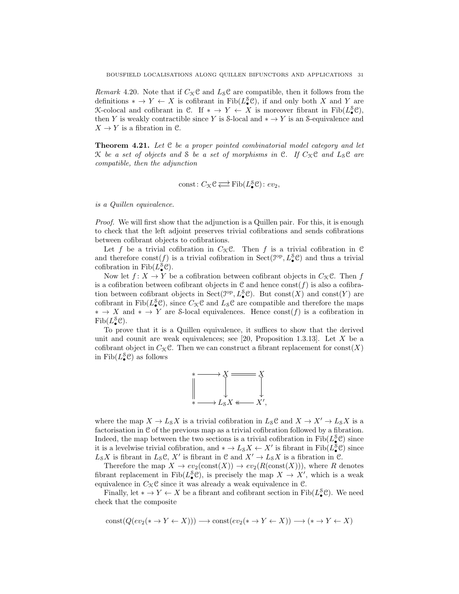*Remark* 4.20. Note that if  $C_{\mathcal{K}}\mathcal{C}$  and  $L_{\mathcal{S}}\mathcal{C}$  are compatible, then it follows from the definitions  $* \to Y \leftarrow X$  is cofibrant in Fib( $L^{\mathcal{S}}_{\bullet} \mathcal{C}$ ), if and only both X and Y are K-colocal and cofibrant in C. If  $* \to Y \leftarrow X$  is moreover fibrant in Fib $(L^s_{\bullet} \mathcal{C})$ , then Y is weakly contractible since Y is S-local and  $* \to Y$  is an S-equivalence and  $X \to Y$  is a fibration in C.

Theorem 4.21. *Let* C *be a proper pointed combinatorial model category and let* K *be a set of objects and* S *be a set of morphisms in* C. If  $C_{\mathcal{K}}C$  and  $L_{\mathcal{S}}C$  are *compatible, then the adjunction*

$$
const\colon C_{\mathcal{K}}\mathcal{C} \rightleftarrows \mathrm{Fib}(L^{\mathcal{S}}_{\bullet}\mathcal{C})\colon ev_2,
$$

*is a Quillen equivalence.*

*Proof.* We will first show that the adjunction is a Quillen pair. For this, it is enough to check that the left adjoint preserves trivial cofibrations and sends cofibrations between cofibrant objects to cofibrations.

Let f be a trivial cofibration in  $C_{\mathcal{K}}$ C. Then f is a trivial cofibration in C and therefore const(f) is a trivial cofibration in  $Sect(\mathcal{I}^{op}, L^S_{\bullet} \mathcal{C})$  and thus a trivial cofibration in  $\text{Fib}(L^8_\bullet \mathcal{C})$ .

Now let  $f: X \to Y$  be a cofibration between cofibrant objects in  $C_{\mathcal{K}} \mathcal{C}$ . Then f is a cofibration between cofibrant objects in  $\mathcal C$  and hence const $(f)$  is also a cofibration between cofibrant objects in  $Sect(\mathcal{I}^{op}, L^S_{\bullet}\mathcal{C})$ . But  $const(X)$  and  $const(Y)$  are cofibrant in Fib( $L^{\mathcal{S}}_{\bullet}(\mathcal{C})$ , since  $C_{\mathcal{K}}(\mathcal{C})$  and  $L_{\mathcal{S}}(\mathcal{C})$  are compatible and therefore the maps  $* \to X$  and  $* \to Y$  are S-local equivalences. Hence const(f) is a cofibration in  $\mathrm{Fib}(L^{\mathcal{S}}_{\bullet}\mathcal{C}).$ 

To prove that it is a Quillen equivalence, it suffices to show that the derived unit and counit are weak equivalences; see  $[20,$  Proposition 1.3.13. Let X be a cofibrant object in  $C_{\mathcal{K}}\mathcal{C}$ . Then we can construct a fibrant replacement for const $(X)$ in  $\text{Fib}(L^{\mathcal{S}}_{\bullet}\mathcal{C})$  as follows



where the map  $X \to L_S X$  is a trivial cofibration in  $L_S \mathcal{C}$  and  $X \to X' \to L_S X$  is a factorisation in C of the previous map as a trivial cofibration followed by a fibration. Indeed, the map between the two sections is a trivial cofibration in  $\text{Fib}(L^{\mathcal{S}}_{\bullet}\mathcal{C})$  since it is a levelwise trivial cofibration, and  $* \to L_S X \leftarrow X'$  is fibrant in  $\text{Fib}(L^S_{\bullet} \mathcal{C})$  since  $L_S X$  is fibrant in  $L_S C$ , X' is fibrant in C and  $X' \to L_S X$  is a fibration in C.

Therefore the map  $X \to ev_2(\text{const}(X)) \to ev_2(R(\text{const}(X))),$  where R denotes fibrant replacement in Fib( $L^s_{\bullet}(\mathcal{C})$ , is precisely the map  $X \to X'$ , which is a weak equivalence in  $C_{\mathcal{K}}\mathcal{C}$  since it was already a weak equivalence in  $\mathcal{C}$ .

Finally, let  $* \to Y \leftarrow X$  be a fibrant and cofibrant section in Fib( $L^s_{\bullet}$ C). We need check that the composite

$$
const(Q(ev_2(* \to Y \leftarrow X))) \longrightarrow const(ev_2(* \to Y \leftarrow X)) \longrightarrow (* \to Y \leftarrow X)
$$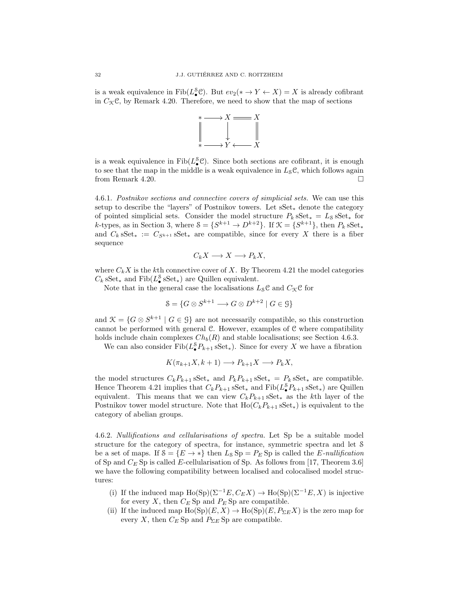is a weak equivalence in  $\text{Fib}(L^s_{\bullet} \mathcal{C})$ . But  $ev_2(\ast \to Y \leftarrow X) = X$  is already cofibrant in  $C_{\mathcal{K}}\mathcal{C}$ , by Remark 4.20. Therefore, we need to show that the map of sections



is a weak equivalence in  $\text{Fib}(L^{\mathcal{S}}_{\bullet}\mathcal{C})$ . Since both sections are cofibrant, it is enough to see that the map in the middle is a weak equivalence in  $L_{\mathcal{S}}\mathcal{C}$ , which follows again from Remark 4.20.

4.6.1. *Postnikov sections and connective covers of simplicial sets.* We can use this setup to describe the "layers" of Postnikov towers. Let sSet<sup>∗</sup> denote the category of pointed simplicial sets. Consider the model structure  $P_k$  sSet<sub>\*</sub> =  $L_s$  sSet<sub>\*</sub> for k-types, as in Section 3, where  $S = \{S^{k+1} \to D^{k+2}\}\$ . If  $\mathcal{K} = \{S^{k+1}\}\$ , then  $P_k sSet_*$ and  $C_k$  sSet<sub>\*</sub> :=  $C_{S^{k+1}}$  sSet<sub>\*</sub> are compatible, since for every X there is a fiber sequence

$$
C_k X \longrightarrow X \longrightarrow P_k X,
$$

where  $C_k X$  is the kth connective cover of X. By Theorem 4.21 the model categories  $C_k$  sSet<sub>\*</sub> and Fib( $L^{\mathcal{S}}_{\bullet}$  sSet<sub>\*</sub>) are Quillen equivalent.

Note that in the general case the localisations  $L_{\mathcal{S}}\mathcal{C}$  and  $C_{\mathcal{K}}\mathcal{C}$  for

$$
\mathcal{S} = \{ G \otimes S^{k+1} \longrightarrow G \otimes D^{k+2} \mid G \in \mathcal{G} \}
$$

and  $\mathcal{K} = \{G \otimes S^{k+1} \mid G \in \mathcal{G}\}\$ are not necessarily compatible, so this construction cannot be performed with general C. However, examples of C where compatibility holds include chain complexes  $Ch_b(R)$  and stable localisations; see Section 4.6.3.

We can also consider  $\text{Fib}(L^S_{\bullet}P_{k+1} \text{ sSet}_{*})$ . Since for every X we have a fibration

$$
K(\pi_{k+1}X, k+1) \longrightarrow P_{k+1}X \longrightarrow P_kX,
$$

the model structures  $C_k P_{k+1}$  sSet<sub>\*</sub> and  $P_k P_{k+1}$  sSet<sub>\*</sub> =  $P_k$  sSet<sub>\*</sub> are compatible. Hence Theorem 4.21 implies that  $C_k P_{k+1}$  sSet<sub>\*</sub> and Fib( $L^{\mathcal{S}}_{\bullet} P_{k+1}$  sSet<sub>\*</sub>) are Quillen equivalent. This means that we can view  $C_kP_{k+1}$  sSet<sub>\*</sub> as the kth layer of the Postnikov tower model structure. Note that  $Ho(C_kP_{k+1} Sset_*)$  is equivalent to the category of abelian groups.

4.6.2. *Nullifications and cellularisations of spectra.* Let Sp be a suitable model structure for the category of spectra, for instance, symmetric spectra and let S be a set of maps. If  $S = \{E \to *\}$  then  $L_S Sp = P_E Sp$  is called the E-nullification of Sp and  $C_E$  Sp is called E-cellularisation of Sp. As follows from [17, Theorem 3.6] we have the following compatibility between localised and colocalised model structures:

- (i) If the induced map Ho(Sp)( $\Sigma^{-1}E, C_EX$ ) → Ho(Sp)( $\Sigma^{-1}E, X$ ) is injective for every X, then  $C_E$  Sp and  $P_E$  Sp are compatible.
- (ii) If the induced map  $Ho(\text{Sp})(E, X) \to Ho(\text{Sp})(E, P_{\Sigma E}X)$  is the zero map for every X, then  $C_E$  Sp and  $P_{\Sigma E}$  Sp are compatible.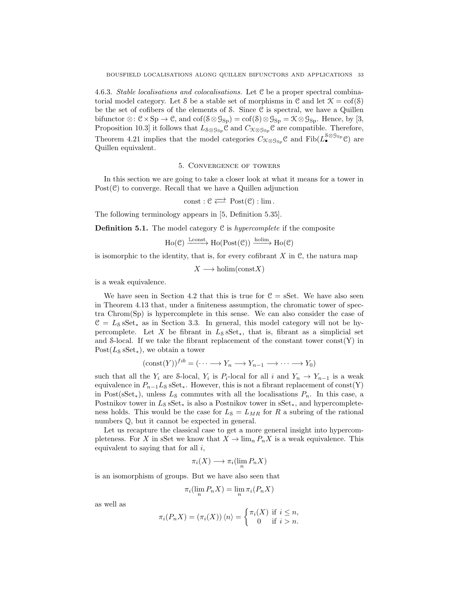4.6.3. *Stable localisations and colocalisations.* Let C be a proper spectral combinatorial model category. Let S be a stable set of morphisms in C and let  $\mathcal{K} = \text{cof}(\mathcal{S})$ be the set of cofibers of the elements of S. Since C is spectral, we have a Quillen bifunctor  $\otimes: \mathcal{C} \times \mathrm{Sp} \to \mathcal{C}$ , and  $\mathrm{cof}(\mathcal{S} \otimes \mathcal{G}_{\mathrm{Sp}}) = \mathrm{cof}(\mathcal{S}) \otimes \mathcal{G}_{\mathrm{Sp}} = \mathcal{K} \otimes \mathcal{G}_{\mathrm{Sp}}$ . Hence, by [3, Proposition 10.3] it follows that  $L_{\mathcal{S}\otimes\mathcal{G}_{\text{Sp}}}C$  and  $C_{\mathcal{K}\otimes\mathcal{G}_{\text{Sp}}}C$  are compatible. Therefore, Theorem 4.21 implies that the model categories  $C_{\mathcal{K}\otimes\mathcal{G}_{\text{Sp}}}\mathcal{C}$  and  $\text{Fib}(L^{\mathcal{S}\otimes\mathcal{G}_{\text{Sp}}}_{\bullet}\mathcal{C})$  are Quillen equivalent.

#### 5. Convergence of towers

In this section we are going to take a closer look at what it means for a tower in Post $(\mathcal{C})$  to converge. Recall that we have a Quillen adjunction

$$
\mathrm{const} : \mathfrak{C} \rightleftarrows \; \mathrm{Post}(\mathfrak{C}) : \mathrm{lim} \, .
$$

The following terminology appears in [5, Definition 5.35].

**Definition 5.1.** The model category  $C$  is *hypercomplete* if the composite

 $Ho(\mathcal{C}) \xrightarrow{Lconst} Ho(Post(\mathcal{C})) \xrightarrow{holim} Ho(\mathcal{C})$ 

is isomorphic to the identity, that is, for every cofibrant  $X$  in  $\mathcal{C}$ , the natura map

 $X \longrightarrow \text{holim}(\text{const}X)$ 

is a weak equivalence.

We have seen in Section 4.2 that this is true for  $C = sSet$ . We have also seen in Theorem 4.13 that, under a finiteness assumption, the chromatic tower of spectra Chrom(Sp) is hypercomplete in this sense. We can also consider the case of  $C = L<sub>S</sub> sSet<sub>*</sub>$  as in Section 3.3. In general, this model category will not be hypercomplete. Let X be fibrant in  $L_8$  sSet<sub>\*</sub>, that is, fibrant as a simplicial set and S-local. If we take the fibrant replacement of the constant tower const(Y) in  $Post(L<sub>s</sub> sSet<sub>*</sub>)$ , we obtain a tower

$$
(\text{const}(Y))^{fib} = (\cdots \longrightarrow Y_n \longrightarrow Y_{n-1} \longrightarrow \cdots \longrightarrow Y_0)
$$

such that all the  $Y_i$  are S-local,  $Y_i$  is  $P_i$ -local for all i and  $Y_n \to Y_{n-1}$  is a weak equivalence in  $P_{n-1}L_8$  sSet<sub>∗</sub>. However, this is not a fibrant replacement of const(Y) in Post(sSet<sub>\*</sub>), unless  $L_8$  commutes with all the localisations  $P_n$ . In this case, a Postnikov tower in  $L_s$  sSet<sub>\*</sub> is also a Postnikov tower in sSet<sub>\*</sub>, and hypercompleteness holds. This would be the case for  $L<sub>S</sub> = L<sub>MR</sub>$  for R a subring of the rational numbers Q, but it cannot be expected in general.

Let us recapture the classical case to get a more general insight into hypercompleteness. For X in sSet we know that  $X \to \lim_n P_n X$  is a weak equivalence. This equivalent to saying that for all  $i$ ,

$$
\pi_i(X) \longrightarrow \pi_i(\lim_n P_n X)
$$

is an isomorphism of groups. But we have also seen that

$$
\pi_i(\lim_n P_n X) = \lim_n \pi_i(P_n X)
$$

as well as

$$
\pi_i(P_n X) = (\pi_i(X)) \langle n \rangle = \begin{cases} \pi_i(X) & \text{if } i \leq n, \\ 0 & \text{if } i > n. \end{cases}
$$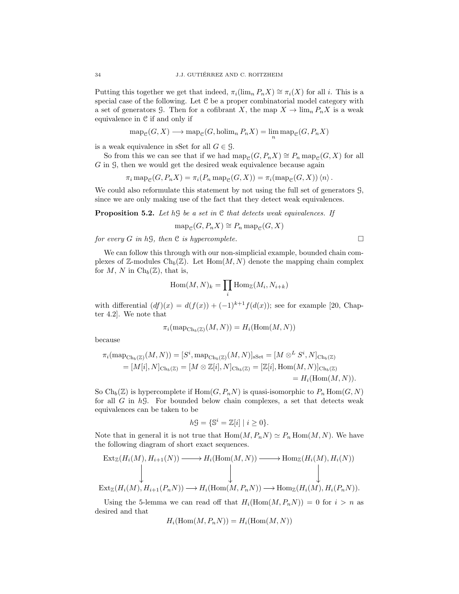Putting this together we get that indeed,  $\pi_i(\lim_n P_n X) \cong \pi_i(X)$  for all i. This is a special case of the following. Let C be a proper combinatorial model category with a set of generators G. Then for a cofibrant X, the map  $X \to \lim_n P_n X$  is a weak equivalence in C if and only if

$$
\operatorname{map}_{\mathcal{C}}(G, X) \longrightarrow \operatorname{map}_{\mathcal{C}}(G, \operatorname{holim}_n P_n X) = \lim_{n} \operatorname{map}_{\mathcal{C}}(G, P_n X)
$$

is a weak equivalence in sSet for all  $G \in \mathcal{G}$ .

So from this we can see that if we had map<sub>C</sub>(G,  $P_nX$ ) ≅  $P_n$  map<sub>C</sub>(G, X) for all G in 9, then we would get the desired weak equivalence because again

$$
\pi_i \operatorname{map}_{\mathcal{C}}(G, P_n X) = \pi_i(P_n \operatorname{map}_{\mathcal{C}}(G, X)) = \pi_i(\operatorname{map}_{\mathcal{C}}(G, X)) \langle n \rangle.
$$

We could also reformulate this statement by not using the full set of generators G, since we are only making use of the fact that they detect weak equivalences.

Proposition 5.2. *Let* hG *be a set in* C *that detects weak equivalences. If*

$$
\operatorname{map}_{\mathcal{C}}(G, P_n X) \cong P_n \operatorname{map}_{\mathcal{C}}(G, X)
$$

*for every*  $G$  *in*  $h\mathcal{G}$ *, then*  $C$  *is hypercomplete.* 

We can follow this through with our non-simplicial example, bounded chain complexes of Z-modules  $\text{Ch}_b(\mathbb{Z})$ . Let  $\text{Hom}(M, N)$  denote the mapping chain complex for M, N in  $\mathrm{Ch}_b(\mathbb{Z})$ , that is,

$$
\operatorname{Hom}(M,N)_k=\prod_i \operatorname{Hom}_{\mathbb{Z}}(M_i,N_{i+k})
$$

with differential  $(df)(x) = d(f(x)) + (-1)^{k+1} f(d(x))$ ; see for example [20, Chapter 4.2]. We note that

$$
\pi_i(\operatorname{map}_{\mathrm{Ch}_b(\mathbb{Z})}(M,N)) = H_i(\mathrm{Hom}(M,N))
$$

because

$$
\pi_i(\text{map}_{\text{Ch}_b(\mathbb{Z})}(M,N)) = [S^i, \text{map}_{\text{Ch}_b(\mathbb{Z})}(M,N)]_{\text{sSet}} = [M \otimes^L S^i, N]_{\text{Ch}_b(\mathbb{Z})} \n= [M[i], N]_{\text{Ch}_b(\mathbb{Z})} = [M \otimes \mathbb{Z}[i], N]_{\text{Ch}_b(\mathbb{Z})} = [\mathbb{Z}[i], \text{Hom}(M,N)]_{\text{Ch}_b(\mathbb{Z})} \n= H_i(\text{Hom}(M,N)).
$$

So  $\text{Ch}_b(\mathbb{Z})$  is hypercomplete if  $\text{Hom}(G, P_n)$  is quasi-isomorphic to  $P_n$   $\text{Hom}(G, N)$ for all  $G$  in  $h\mathcal{G}$ . For bounded below chain complexes, a set that detects weak equivalences can be taken to be

$$
h\mathcal{G} = \{\mathbb{S}^i = \mathbb{Z}[i] \mid i \ge 0\}.
$$

Note that in general it is not true that  $\text{Hom}(M, P_nN) \simeq P_n \text{Hom}(M, N)$ . We have the following diagram of short exact sequences.

$$
\begin{array}{ccc}\n\operatorname{Ext}_{\mathbb{Z}}(H_i(M), H_{i+1}(N)) & \longrightarrow H_i(\operatorname{Hom}(M, N)) & \longrightarrow \operatorname{Hom}_{\mathbb{Z}}(H_i(M), H_i(N)) \\
\downarrow & \downarrow & \downarrow & \downarrow \\
\operatorname{Ext}_{\mathbb{Z}}(H_i(M), H_{i+1}(P_n N)) & \longrightarrow H_i(\operatorname{Hom}(M, P_n N)) & \longrightarrow \operatorname{Hom}_{\mathbb{Z}}(H_i(M), H_i(P_n N)).\n\end{array}
$$

Using the 5-lemma we can read off that  $H_i(\text{Hom}(M, P_nN)) = 0$  for  $i > n$  as desired and that

$$
H_i(\mathrm{Hom}(M, P_n N)) = H_i(\mathrm{Hom}(M, N))
$$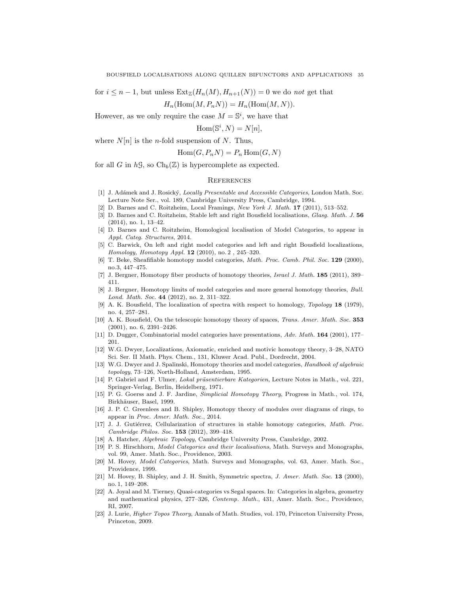for  $i \leq n-1$ , but unless  $\text{Ext}_{\mathbb{Z}}(H_n(M), H_{n+1}(N)) = 0$  we do *not* get that

$$
H_n(\mathrm{Hom}(M, P_n N)) = H_n(\mathrm{Hom}(M, N)).
$$

However, as we only require the case  $M = \mathbb{S}^i$ , we have that

 $\text{Hom}(\mathbb{S}^i, N) = N[n],$ 

where  $N[n]$  is the *n*-fold suspension of N. Thus,

$$
Hom(G, P_n N) = P_n Hom(G, N)
$$

for all G in  $h\mathcal{G}$ , so  $\mathrm{Ch}_b(\mathbb{Z})$  is hypercomplete as expected.

#### **REFERENCES**

- [1] J. Ad´amek and J. Rosick´y, *Locally Presentable and Accessible Categories*, London Math. Soc. Lecture Note Ser., vol. 189, Cambridge University Press, Cambridge, 1994.
- [2] D. Barnes and C. Roitzheim, Local Framings, *New York J. Math.* 17 (2011), 513–552.
- [3] D. Barnes and C. Roitzheim, Stable left and right Bousfield localisations, *Glasg. Math. J.* 56 (2014), no. 1, 13–42.
- [4] D. Barnes and C. Roitzheim, Homological localisation of Model Categories, to appear in *Appl. Categ. Structures*, 2014.
- [5] C. Barwick, On left and right model categories and left and right Bousfield localizations, *Homology, Homotopy Appl.* 12 (2010), no. 2 , 245–320.
- [6] T. Beke, Sheafifiable homotopy model categories, *Math. Proc. Camb. Phil. Soc.* 129 (2000), no.3, 447–475.
- [7] J. Bergner, Homotopy fiber products of homotopy theories, *Israel J. Math.* 185 (2011), 389– 411.
- [8] J. Bergner, Homotopy limits of model categories and more general homotopy theories, *Bull. Lond. Math. Soc.* 44 (2012), no. 2, 311–322.
- [9] A. K. Bousfield, The localization of spectra with respect to homology, *Topology* 18 (1979), no. 4, 257–281.
- [10] A. K. Bousfield, On the telescopic homotopy theory of spaces, *Trans. Amer. Math. Soc.* 353 (2001), no. 6, 2391–2426.
- [11] D. Dugger, Combinatorial model categories have presentations, *Adv. Math.* 164 (2001), 177– 201.
- [12] W.G. Dwyer, Localizations, Axiomatic, enriched and motivic homotopy theory, 3–28, NATO Sci. Ser. II Math. Phys. Chem., 131, Kluwer Acad. Publ., Dordrecht, 2004.
- [13] W.G. Dwyer and J. Spalinski, Homotopy theories and model categories, *Handbook of algebraic topology*, 73–126, North-Holland, Amsterdam, 1995.
- [14] P. Gabriel and F. Ulmer, *Lokal präsentierbare Kategorien*, Lecture Notes in Math., vol. 221, Springer-Verlag, Berlin, Heidelberg, 1971.
- [15] P. G. Goerss and J. F. Jardine, *Simplicial Homotopy Theory*, Progress in Math., vol. 174, Birkhäuser, Basel, 1999.
- [16] J. P. C. Greenlees and B. Shipley, Homotopy theory of modules over diagrams of rings, to appear in *Proc. Amer. Math. Soc.*, 2014.
- [17] J. J. Gutiérrez, Cellularization of structures in stable homotopy categories, *Math. Proc. Cambridge Philos. Soc.* 153 (2012), 399–418.
- [18] A. Hatcher, *Algebraic Topology*, Cambridge University Press, Cambridge, 2002.
- [19] P. S. Hirschhorn, *Model Categories and their localisations*, Math. Surveys and Monographs, vol. 99, Amer. Math. Soc., Providence, 2003.
- [20] M. Hovey, *Model Categories*, Math. Surveys and Monographs, vol. 63, Amer. Math. Soc., Providence, 1999.
- [21] M. Hovey, B. Shipley, and J. H. Smith, Symmetric spectra, *J. Amer. Math. Soc.* 13 (2000), no. 1, 149–208.
- [22] A. Joyal and M. Tierney, Quasi-categories vs Segal spaces. In: Categories in algebra, geometry and mathematical physics, 277–326, *Contemp. Math.*, 431, Amer. Math. Soc., Providence, RI, 2007.
- [23] J. Lurie, *Higher Topos Theory*, Annals of Math. Studies, vol. 170, Princeton University Press, Princeton, 2009.